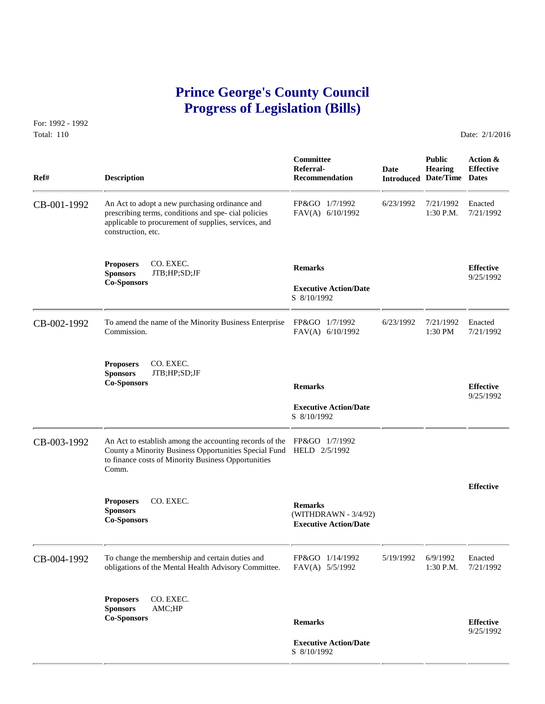# **Prince George's County Council Progress of Legislation (Bills)**

For: 1992 - 1992 Total: 110 Date: 2/1/2016

 **Committee Public Action & Referral- Date Hearing Effective Ref# Description Recommendation Introduced Date/Time Dates** CB-001-1992 An Act to adopt a new purchasing ordinance and FP&GO 1/7/1992 6/23/1992 7/21/1992 Enacted prescribing terms, conditions and spe-cial policies FAV(A) 6/10/1992 1:30 P.M. 7/21/1992 prescribing terms, conditions and spe- cial policies applicable to procurement of supplies, services, and construction, etc. **Proposers CO. EXEC. Remarks Effective Effective Effective Effective Effective Co-Sponsors CO. EXEC. Co-Sponsors Executive Action/Date Physics Executive Action** S 8/10/1992 CB-002-1992 To amend the name of the Minority Business Enterprise FP&GO 1/7/1992 6/23/1992 7/21/1992 Enacted<br>Commission. FAV(A) 6/10/1992 1:30 PM 7/21/1992 FAV(A) 6/10/1992 **Proposers CO. EXEC.<br>Sponsors JTB;HP;SD Sponsors** JTB;HP;SD;JF **Co-Sponsors Remarks Effective** 9/25/1992  **Executive Action/Date** S 8/10/1992 CB-003-1992 An Act to establish among the accounting records of the FP&GO 1/7/1992 County a Minority Business Opportunities Special Fund HELD 2/5/1992 to finance costs of Minority Business Opportunities Comm. **Effective Proposers** CO. EXEC. **Remarks Sponsors** (WITHDRAWN - 3/4/92) **Co-Sponsors Executive Action/Date** CB-004-1992 To change the membership and certain duties and FP&GO 1/14/1992 5/19/1992 6/9/1992 Enacted obligations of the Mental Health Advisory Committee. FAV(A) 5/5/1992 1:30 P.M. 7/21/1992 obligations of the Mental Health Advisory Committee. **Proposers** CO. EXEC. **Sponsors** AMC;HP **Co-Sponsors Remarks Effective** 9/25/1992  **Executive Action/Date** S 8/10/1992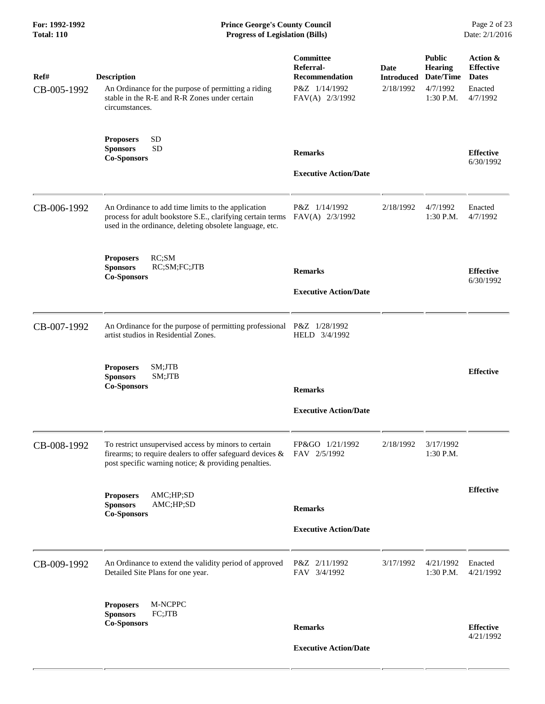| <b>Description</b><br>An Ordinance for the purpose of permitting a riding<br>stable in the R-E and R-R Zones under certain<br>circumstances.                                | Committee<br>Referral-<br><b>Recommendation</b><br>P&Z 1/14/1992<br>FAV(A) 2/3/1992 | Date<br>Introduced<br>2/18/1992                                                                                                                                                                                  | <b>Public</b><br><b>Hearing</b><br>Date/Time<br>4/7/1992<br>1:30 P.M. | Action &<br><b>Effective</b><br><b>Dates</b><br>Enacted<br>4/7/1992 |
|-----------------------------------------------------------------------------------------------------------------------------------------------------------------------------|-------------------------------------------------------------------------------------|------------------------------------------------------------------------------------------------------------------------------------------------------------------------------------------------------------------|-----------------------------------------------------------------------|---------------------------------------------------------------------|
| <b>SD</b><br><b>Proposers</b><br><b>Sponsors</b><br><b>SD</b><br><b>Co-Sponsors</b>                                                                                         | <b>Remarks</b><br><b>Executive Action/Date</b>                                      |                                                                                                                                                                                                                  |                                                                       | <b>Effective</b><br>6/30/1992                                       |
| An Ordinance to add time limits to the application<br>process for adult bookstore S.E., clarifying certain terms<br>used in the ordinance, deleting obsolete language, etc. | P&Z 1/14/1992<br>FAV(A) 2/3/1992                                                    | 2/18/1992                                                                                                                                                                                                        | 4/7/1992<br>1:30 P.M.                                                 | Enacted<br>4/7/1992                                                 |
| RC;SM<br><b>Proposers</b><br>RC;SM;FC;JTB<br><b>Sponsors</b><br><b>Co-Sponsors</b>                                                                                          | <b>Remarks</b><br><b>Executive Action/Date</b>                                      |                                                                                                                                                                                                                  |                                                                       | <b>Effective</b><br>6/30/1992                                       |
| artist studios in Residential Zones.                                                                                                                                        | HELD 3/4/1992                                                                       |                                                                                                                                                                                                                  |                                                                       |                                                                     |
| SM;JTB<br><b>Proposers</b><br><b>Sponsors</b><br>SM;JTB<br><b>Co-Sponsors</b>                                                                                               | <b>Remarks</b><br><b>Executive Action/Date</b>                                      |                                                                                                                                                                                                                  |                                                                       | <b>Effective</b>                                                    |
| To restrict unsupervised access by minors to certain<br>post specific warning notice; & providing penalties.                                                                | FP&GO 1/21/1992                                                                     | 2/18/1992                                                                                                                                                                                                        | 3/17/1992<br>1:30 P.M.                                                |                                                                     |
| AMC;HP;SD<br><b>Proposers</b><br><b>Sponsors</b><br>AMC;HP;SD<br><b>Co-Sponsors</b>                                                                                         | <b>Remarks</b><br><b>Executive Action/Date</b>                                      |                                                                                                                                                                                                                  |                                                                       | <b>Effective</b>                                                    |
| An Ordinance to extend the validity period of approved<br>Detailed Site Plans for one year.                                                                                 | P&Z 2/11/1992<br>FAV 3/4/1992                                                       | 3/17/1992                                                                                                                                                                                                        | 4/21/1992<br>$1:30$ P.M.                                              | Enacted<br>4/21/1992                                                |
| M-NCPPC<br><b>Proposers</b><br><b>Sponsors</b><br>FC;JTB<br><b>Co-Sponsors</b>                                                                                              | <b>Remarks</b>                                                                      |                                                                                                                                                                                                                  |                                                                       | <b>Effective</b><br>4/21/1992                                       |
|                                                                                                                                                                             |                                                                                     | An Ordinance for the purpose of permitting professional P&Z 1/28/1992<br>firearms; to require dealers to offer safeguard devices $& \text{FAV} \quad \frac{2}{5}/\frac{1992}{2}$<br><b>Executive Action/Date</b> |                                                                       |                                                                     |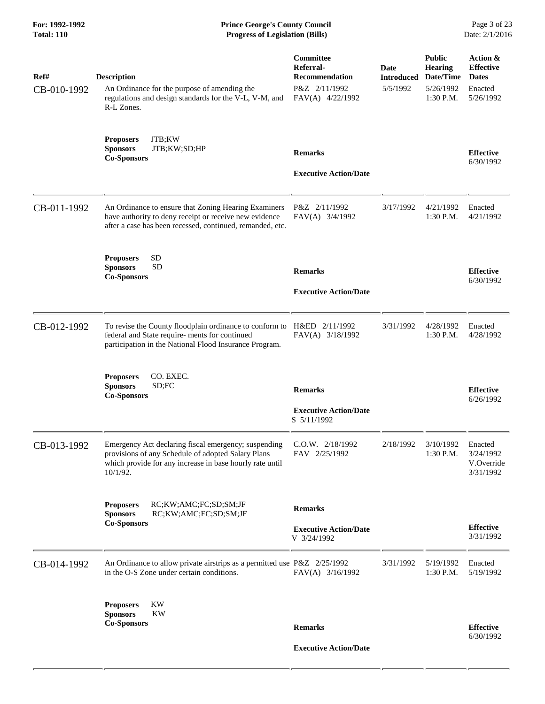| Ref#<br>CB-010-1992 | <b>Description</b><br>An Ordinance for the purpose of amending the<br>regulations and design standards for the V-L, V-M, and<br>R-L Zones.                                            | Committee<br>Referral-<br><b>Recommendation</b><br>P&Z 2/11/1992<br>FAV(A) 4/22/1992 | Date<br><b>Introduced</b><br>5/5/1992 | <b>Public</b><br><b>Hearing</b><br>Date/Time<br>5/26/1992<br>1:30 P.M. | Action &<br><b>Effective</b><br><b>Dates</b><br>Enacted<br>5/26/1992 |
|---------------------|---------------------------------------------------------------------------------------------------------------------------------------------------------------------------------------|--------------------------------------------------------------------------------------|---------------------------------------|------------------------------------------------------------------------|----------------------------------------------------------------------|
|                     | JTB;KW<br><b>Proposers</b><br>JTB;KW;SD;HP<br><b>Sponsors</b><br><b>Co-Sponsors</b>                                                                                                   | <b>Remarks</b><br><b>Executive Action/Date</b>                                       |                                       |                                                                        | <b>Effective</b><br>6/30/1992                                        |
| CB-011-1992         | An Ordinance to ensure that Zoning Hearing Examiners<br>have authority to deny receipt or receive new evidence<br>after a case has been recessed, continued, remanded, etc.           | P&Z 2/11/1992<br>FAV(A) 3/4/1992                                                     | 3/17/1992                             | 4/21/1992<br>1:30 P.M.                                                 | Enacted<br>4/21/1992                                                 |
|                     | <b>SD</b><br><b>Proposers</b><br><b>SD</b><br><b>Sponsors</b><br><b>Co-Sponsors</b>                                                                                                   | <b>Remarks</b><br><b>Executive Action/Date</b>                                       |                                       |                                                                        | <b>Effective</b><br>6/30/1992                                        |
| CB-012-1992         | To revise the County floodplain ordinance to conform to H&ED 2/11/1992<br>federal and State require- ments for continued<br>participation in the National Flood Insurance Program.    | FAV(A) 3/18/1992                                                                     | 3/31/1992                             | 4/28/1992<br>1:30 P.M.                                                 | Enacted<br>4/28/1992                                                 |
|                     | CO. EXEC.<br><b>Proposers</b><br>SD;FC<br><b>Sponsors</b><br><b>Co-Sponsors</b>                                                                                                       | <b>Remarks</b><br><b>Executive Action/Date</b><br>S 5/11/1992                        |                                       |                                                                        | <b>Effective</b><br>6/26/1992                                        |
| CB-013-1992         | Emergency Act declaring fiscal emergency; suspending<br>provisions of any Schedule of adopted Salary Plans<br>which provide for any increase in base hourly rate until<br>$10/1/92$ . | $C.0.W.$ $2/18/1992$<br>FAV 2/25/1992                                                | 2/18/1992                             | 3/10/1992<br>1:30 P.M.                                                 | Enacted<br>3/24/1992<br>V.Override<br>3/31/1992                      |
|                     | <b>Proposers</b><br>RC;KW;AMC;FC;SD;SM;JF<br><b>Sponsors</b><br>RC;KW;AMC;FC;SD;SM;JF<br><b>Co-Sponsors</b>                                                                           | <b>Remarks</b><br><b>Executive Action/Date</b><br>V 3/24/1992                        |                                       |                                                                        | <b>Effective</b><br>3/31/1992                                        |
| CB-014-1992         | An Ordinance to allow private airstrips as a permitted use P&Z 2/25/1992<br>in the O-S Zone under certain conditions.                                                                 | FAV(A) 3/16/1992                                                                     | 3/31/1992                             | 5/19/1992<br>1:30 P.M.                                                 | Enacted<br>5/19/1992                                                 |
|                     | KW<br><b>Proposers</b><br><b>Sponsors</b><br><b>KW</b><br><b>Co-Sponsors</b>                                                                                                          | <b>Remarks</b>                                                                       |                                       |                                                                        | <b>Effective</b><br>6/30/1992                                        |
|                     |                                                                                                                                                                                       | <b>Executive Action/Date</b>                                                         |                                       |                                                                        |                                                                      |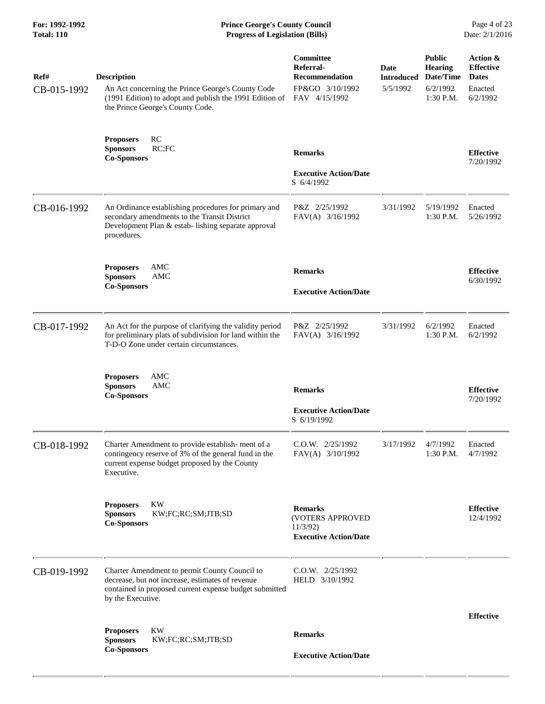| Ref#<br>CB-015-1992 | <b>Description</b><br>An Act concerning the Prince George's County Code<br>(1991 Edition) to adopt and publish the 1991 Edition of<br>the Prince George's County Code.           | Committee<br>Referral-<br>Recommendation<br>FP&GO 3/10/1992<br>FAV 4/15/1992  | Date<br>5/5/1992 | <b>Public</b><br><b>Hearing</b><br><b>Introduced Date/Time</b><br>6/2/1992<br>1:30 P.M. | Action &<br><b>Effective</b><br><b>Dates</b><br>Enacted<br>6/2/1992 |
|---------------------|----------------------------------------------------------------------------------------------------------------------------------------------------------------------------------|-------------------------------------------------------------------------------|------------------|-----------------------------------------------------------------------------------------|---------------------------------------------------------------------|
|                     | RC<br><b>Proposers</b><br>RC;FC<br><b>Sponsors</b><br><b>Co-Sponsors</b>                                                                                                         | <b>Remarks</b><br><b>Executive Action/Date</b><br>S 6/4/1992                  |                  |                                                                                         | <b>Effective</b><br>7/20/1992                                       |
| CB-016-1992         | An Ordinance establishing procedures for primary and<br>secondary amendments to the Transit District<br>Development Plan & estab-lishing separate approval<br>procedures.        | P&Z 2/25/1992<br>FAV(A) 3/16/1992                                             | 3/31/1992        | 5/19/1992<br>1:30 P.M.                                                                  | Enacted<br>5/26/1992                                                |
|                     | <b>Proposers</b><br>AMC<br><b>Sponsors</b><br>AMC<br><b>Co-Sponsors</b>                                                                                                          | <b>Remarks</b><br><b>Executive Action/Date</b>                                |                  |                                                                                         | <b>Effective</b><br>6/30/1992                                       |
| CB-017-1992         | An Act for the purpose of clarifying the validity period<br>for preliminary plats of subdivision for land within the<br>T-D-O Zone under certain circumstances.                  | P&Z 2/25/1992<br>FAV(A) 3/16/1992                                             | 3/31/1992        | 6/2/1992<br>1:30 P.M.                                                                   | Enacted<br>6/2/1992                                                 |
|                     | <b>Proposers</b><br>AMC<br><b>AMC</b><br><b>Sponsors</b><br><b>Co-Sponsors</b>                                                                                                   | <b>Remarks</b><br><b>Executive Action/Date</b><br>S 6/19/1992                 |                  |                                                                                         | <b>Effective</b><br>7/20/1992                                       |
| CB-018-1992         | Charter Amendment to provide establish-ment of a<br>contingency reserve of 3% of the general fund in the<br>current expense budget proposed by the County<br>Executive.          | C.O.W. 2/25/1992<br>FAV(A) 3/10/1992                                          | 3/17/1992        | 4/7/1992<br>1:30 P.M.                                                                   | Enacted<br>4/7/1992                                                 |
|                     | <b>KW</b><br><b>Proposers</b><br>KW;FC;RC;SM;JTB;SD<br><b>Sponsors</b><br><b>Co-Sponsors</b>                                                                                     | <b>Remarks</b><br>(VOTERS APPROVED<br>11/3/92<br><b>Executive Action/Date</b> |                  |                                                                                         | <b>Effective</b><br>12/4/1992                                       |
| CB-019-1992         | Charter Amendment to permit County Council to<br>decrease, but not increase, estimates of revenue<br>contained in proposed current expense budget submitted<br>by the Executive. | $C.0.W.$ $2/25/1992$<br>HELD 3/10/1992                                        |                  |                                                                                         |                                                                     |
|                     | <b>KW</b><br><b>Proposers</b>                                                                                                                                                    | <b>Remarks</b>                                                                |                  |                                                                                         | <b>Effective</b>                                                    |
|                     | KW;FC;RC;SM;JTB;SD<br><b>Sponsors</b><br><b>Co-Sponsors</b>                                                                                                                      |                                                                               |                  |                                                                                         |                                                                     |
|                     |                                                                                                                                                                                  | <b>Executive Action/Date</b>                                                  |                  |                                                                                         |                                                                     |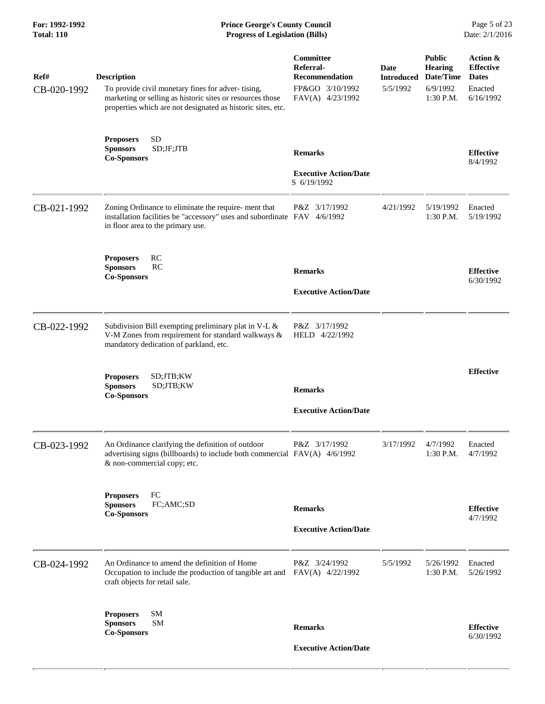## **For: 1992-1992 Prince George's County Council** Page 5 of 23<br> **Prince George's County Council** Page 5 of 23<br> **Progress of Legislation (Bills)** Date: 2/1/2016 **Total: 110 Progress of Legislation (Bills)**

| Ref#<br>CB-020-1992 | <b>Description</b><br>To provide civil monetary fines for adver-tising,<br>marketing or selling as historic sites or resources those<br>properties which are not designated as historic sites, etc. | Committee<br>Referral-<br><b>Recommendation</b><br>FP&GO 3/10/1992<br>FAV(A) 4/23/1992 | Date<br><b>Introduced</b><br>5/5/1992 | <b>Public</b><br><b>Hearing</b><br>Date/Time<br>6/9/1992<br>1:30 P.M. | Action &<br><b>Effective</b><br><b>Dates</b><br>Enacted<br>6/16/1992 |
|---------------------|-----------------------------------------------------------------------------------------------------------------------------------------------------------------------------------------------------|----------------------------------------------------------------------------------------|---------------------------------------|-----------------------------------------------------------------------|----------------------------------------------------------------------|
|                     | <b>SD</b><br><b>Proposers</b><br>SD;JF;JTB<br><b>Sponsors</b><br><b>Co-Sponsors</b>                                                                                                                 | <b>Remarks</b><br><b>Executive Action/Date</b><br>S 6/19/1992                          |                                       |                                                                       | <b>Effective</b><br>8/4/1992                                         |
| CB-021-1992         | Zoning Ordinance to eliminate the require- ment that<br>installation facilities be "accessory" uses and subordinate FAV 4/6/1992<br>in floor area to the primary use.                               | P&Z 3/17/1992                                                                          | 4/21/1992                             | 5/19/1992<br>1:30 P.M.                                                | Enacted<br>5/19/1992                                                 |
|                     | RC<br><b>Proposers</b><br><b>Sponsors</b><br>RC<br><b>Co-Sponsors</b>                                                                                                                               | <b>Remarks</b><br><b>Executive Action/Date</b>                                         |                                       |                                                                       | <b>Effective</b><br>6/30/1992                                        |
| CB-022-1992         | Subdivision Bill exempting preliminary plat in V-L &<br>V-M Zones from requirement for standard walkways &<br>mandatory dedication of parkland, etc.                                                | P&Z 3/17/1992<br>HELD 4/22/1992                                                        |                                       |                                                                       |                                                                      |
|                     | <b>Proposers</b><br>SD;JTB;KW<br><b>Sponsors</b><br>SD;JTB;KW<br><b>Co-Sponsors</b>                                                                                                                 | <b>Remarks</b><br><b>Executive Action/Date</b>                                         |                                       |                                                                       | <b>Effective</b>                                                     |
| CB-023-1992         | An Ordinance clarifying the definition of outdoor<br>advertising signs (billboards) to include both commercial FAV(A) 4/6/1992<br>& non-commercial copy; etc.                                       | P&Z 3/17/1992                                                                          | 3/17/1992                             | 4/7/1992<br>1:30 P.M.                                                 | Enacted<br>4/7/1992                                                  |
|                     | FC<br><b>Proposers</b><br><b>Sponsors</b><br>FC;AMC;SD<br><b>Co-Sponsors</b>                                                                                                                        | <b>Remarks</b><br><b>Executive Action/Date</b>                                         |                                       |                                                                       | <b>Effective</b><br>4/7/1992                                         |
| CB-024-1992         | An Ordinance to amend the definition of Home<br>Occupation to include the production of tangible art and FAV(A) 4/22/1992<br>craft objects for retail sale.                                         | P&Z 3/24/1992                                                                          | 5/5/1992                              | 5/26/1992<br>$1:30$ P.M.                                              | Enacted<br>5/26/1992                                                 |
|                     | SM<br><b>Proposers</b><br><b>SM</b><br><b>Sponsors</b><br><b>Co-Sponsors</b>                                                                                                                        | <b>Remarks</b><br><b>Executive Action/Date</b>                                         |                                       |                                                                       | <b>Effective</b><br>6/30/1992                                        |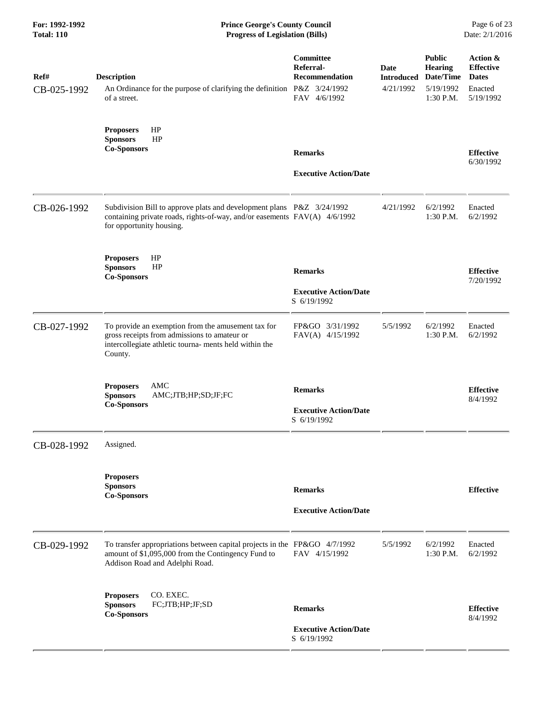| For: 1992-1992<br><b>Total: 110</b> | <b>Prince George's County Council</b><br><b>Progress of Legislation (Bills)</b>                                                                                                |                                                                 |                   |                                                                                          | Page 6 of 23<br>Date: 2/1/2016                                       |
|-------------------------------------|--------------------------------------------------------------------------------------------------------------------------------------------------------------------------------|-----------------------------------------------------------------|-------------------|------------------------------------------------------------------------------------------|----------------------------------------------------------------------|
| Ref#<br>CB-025-1992                 | <b>Description</b><br>An Ordinance for the purpose of clarifying the definition P&Z 3/24/1992<br>of a street.                                                                  | Committee<br>Referral-<br><b>Recommendation</b><br>FAV 4/6/1992 | Date<br>4/21/1992 | <b>Public</b><br><b>Hearing</b><br><b>Introduced Date/Time</b><br>5/19/1992<br>1:30 P.M. | Action &<br><b>Effective</b><br><b>Dates</b><br>Enacted<br>5/19/1992 |
|                                     | HP<br><b>Proposers</b><br>HP<br><b>Sponsors</b><br><b>Co-Sponsors</b>                                                                                                          | <b>Remarks</b><br><b>Executive Action/Date</b>                  |                   |                                                                                          | <b>Effective</b><br>6/30/1992                                        |
| CB-026-1992                         | Subdivision Bill to approve plats and development plans P&Z 3/24/1992<br>containing private roads, rights-of-way, and/or easements FAV(A) 4/6/1992<br>for opportunity housing. |                                                                 | 4/21/1992         | 6/2/1992<br>1:30 P.M.                                                                    | Enacted<br>6/2/1992                                                  |
|                                     | HP<br><b>Proposers</b><br><b>Sponsors</b><br>HP<br><b>Co-Sponsors</b>                                                                                                          | <b>Remarks</b><br><b>Executive Action/Date</b><br>S 6/19/1992   |                   |                                                                                          | <b>Effective</b><br>7/20/1992                                        |
| CB-027-1992                         | To provide an exemption from the amusement tax for<br>gross receipts from admissions to amateur or<br>intercollegiate athletic tourna- ments held within the<br>County.        | FP&GO 3/31/1992<br>FAV(A) 4/15/1992                             | 5/5/1992          | 6/2/1992<br>$1:30$ P.M.                                                                  | Enacted<br>6/2/1992                                                  |
|                                     | AMC<br><b>Proposers</b><br><b>Sponsors</b><br>AMC;JTB;HP;SD;JF;FC<br><b>Co-Sponsors</b>                                                                                        | <b>Remarks</b><br><b>Executive Action/Date</b><br>S 6/19/1992   |                   |                                                                                          | <b>Effective</b><br>8/4/1992                                         |
| CB-028-1992                         | Assigned.                                                                                                                                                                      |                                                                 |                   |                                                                                          |                                                                      |
|                                     | <b>Proposers</b><br><b>Sponsors</b><br><b>Co-Sponsors</b>                                                                                                                      | <b>Remarks</b><br><b>Executive Action/Date</b>                  |                   |                                                                                          | <b>Effective</b>                                                     |
| CB-029-1992                         | To transfer appropriations between capital projects in the FP&GO 4/7/1992<br>amount of \$1,095,000 from the Contingency Fund to<br>Addison Road and Adelphi Road.              | FAV 4/15/1992                                                   | 5/5/1992          | 6/2/1992<br>1:30 P.M.                                                                    | Enacted<br>6/2/1992                                                  |
|                                     | CO. EXEC.<br><b>Proposers</b><br>FC;JTB;HP;JF;SD<br><b>Sponsors</b><br><b>Co-Sponsors</b>                                                                                      | <b>Remarks</b><br><b>Executive Action/Date</b><br>S 6/19/1992   |                   |                                                                                          | <b>Effective</b><br>8/4/1992                                         |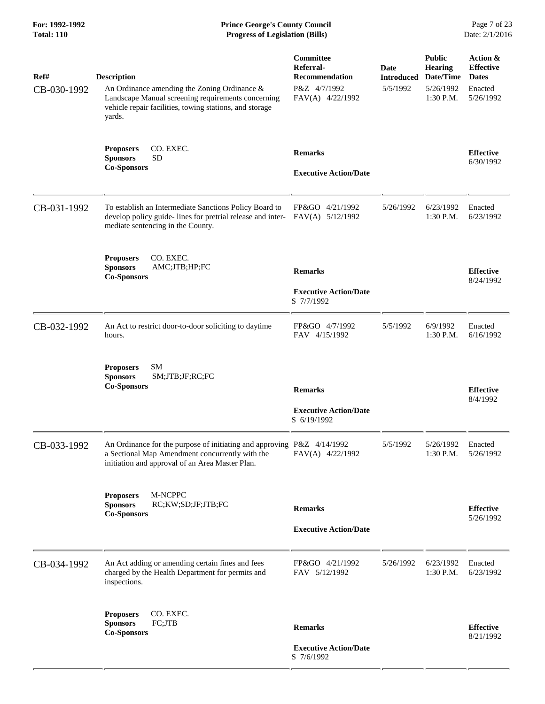| Ref#<br>CB-030-1992 | <b>Description</b><br>An Ordinance amending the Zoning Ordinance &<br>Landscape Manual screening requirements concerning                                                     | Committee<br>Referral-<br><b>Recommendation</b><br>P&Z 4/7/1992<br>FAV(A) 4/22/1992 | Date<br><b>Introduced</b><br>5/5/1992 | <b>Public</b><br><b>Hearing</b><br>Date/Time<br>5/26/1992<br>1:30 P.M. | Action &<br><b>Effective</b><br><b>Dates</b><br>Enacted<br>5/26/1992 |
|---------------------|------------------------------------------------------------------------------------------------------------------------------------------------------------------------------|-------------------------------------------------------------------------------------|---------------------------------------|------------------------------------------------------------------------|----------------------------------------------------------------------|
|                     | vehicle repair facilities, towing stations, and storage<br>yards.                                                                                                            |                                                                                     |                                       |                                                                        |                                                                      |
|                     | CO. EXEC.<br><b>Proposers</b><br><b>Sponsors</b><br><b>SD</b><br><b>Co-Sponsors</b>                                                                                          | <b>Remarks</b><br><b>Executive Action/Date</b>                                      |                                       |                                                                        | <b>Effective</b><br>6/30/1992                                        |
|                     |                                                                                                                                                                              |                                                                                     |                                       |                                                                        |                                                                      |
| CB-031-1992         | To establish an Intermediate Sanctions Policy Board to<br>develop policy guide-lines for pretrial release and inter-<br>mediate sentencing in the County.                    | FP&GO 4/21/1992<br>FAV(A) 5/12/1992                                                 | 5/26/1992                             | 6/23/1992<br>1:30 P.M.                                                 | Enacted<br>6/23/1992                                                 |
|                     | CO. EXEC.<br><b>Proposers</b><br><b>Sponsors</b><br>AMC;JTB;HP;FC<br><b>Co-Sponsors</b>                                                                                      | <b>Remarks</b>                                                                      |                                       |                                                                        | <b>Effective</b><br>8/24/1992                                        |
|                     |                                                                                                                                                                              | <b>Executive Action/Date</b><br>S 7/7/1992                                          |                                       |                                                                        |                                                                      |
| CB-032-1992         | An Act to restrict door-to-door soliciting to daytime<br>hours.                                                                                                              | FP&GO 4/7/1992<br>FAV 4/15/1992                                                     | 5/5/1992                              | 6/9/1992<br>1:30 P.M.                                                  | Enacted<br>6/16/1992                                                 |
|                     | <b>Proposers</b><br>SМ<br><b>Sponsors</b><br>SM;JTB;JF;RC;FC<br><b>Co-Sponsors</b>                                                                                           | <b>Remarks</b>                                                                      |                                       |                                                                        | <b>Effective</b>                                                     |
|                     |                                                                                                                                                                              | <b>Executive Action/Date</b><br>S 6/19/1992                                         |                                       |                                                                        | 8/4/1992                                                             |
| CB-033-1992         | An Ordinance for the purpose of initiating and approving P&Z 4/14/1992<br>a Sectional Map Amendment concurrently with the<br>initiation and approval of an Area Master Plan. | FAV(A) 4/22/1992                                                                    | 5/5/1992                              | 5/26/1992<br>1:30 P.M.                                                 | Enacted<br>5/26/1992                                                 |
|                     | M-NCPPC<br><b>Proposers</b><br><b>Sponsors</b><br>RC;KW;SD;JF;JTB;FC<br><b>Co-Sponsors</b>                                                                                   | <b>Remarks</b>                                                                      |                                       |                                                                        | <b>Effective</b><br>5/26/1992                                        |
|                     |                                                                                                                                                                              | <b>Executive Action/Date</b>                                                        |                                       |                                                                        |                                                                      |
| CB-034-1992         | An Act adding or amending certain fines and fees<br>charged by the Health Department for permits and<br>inspections.                                                         | FP&GO 4/21/1992<br>FAV 5/12/1992                                                    | 5/26/1992                             | 6/23/1992<br>1:30 P.M.                                                 | Enacted<br>6/23/1992                                                 |
|                     | CO. EXEC.<br><b>Proposers</b><br>FC;JTB<br><b>Sponsors</b><br><b>Co-Sponsors</b>                                                                                             | <b>Remarks</b>                                                                      |                                       |                                                                        | <b>Effective</b><br>8/21/1992                                        |
|                     |                                                                                                                                                                              | <b>Executive Action/Date</b><br>S 7/6/1992                                          |                                       |                                                                        |                                                                      |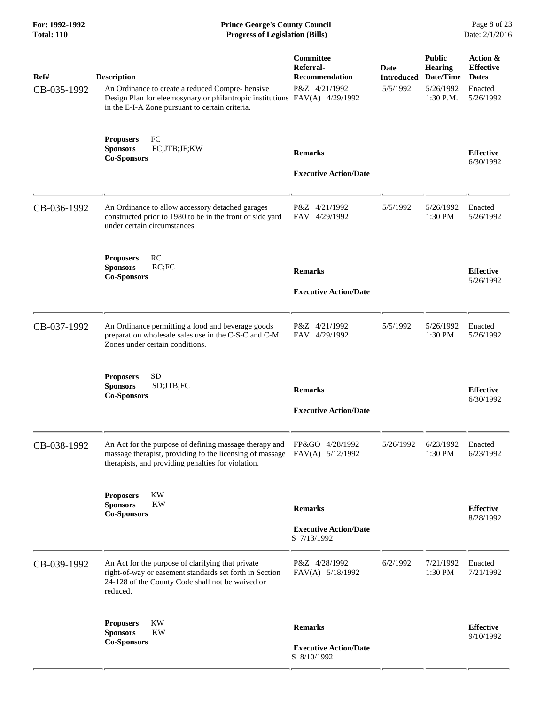| For: 1992-1992<br><b>Total: 110</b> | <b>Prince George's County Council</b><br>Date: 2/1/2016<br><b>Progress of Legislation (Bills)</b>                                                                                                      |                                                                         |                                              |                                                                 |                                                                      |
|-------------------------------------|--------------------------------------------------------------------------------------------------------------------------------------------------------------------------------------------------------|-------------------------------------------------------------------------|----------------------------------------------|-----------------------------------------------------------------|----------------------------------------------------------------------|
| Ref#<br>CB-035-1992                 | <b>Description</b><br>An Ordinance to create a reduced Compre-hensive<br>Design Plan for eleemosynary or philantropic institutions FAV(A) 4/29/1992<br>in the E-I-A Zone pursuant to certain criteria. | <b>Committee</b><br>Referral-<br><b>Recommendation</b><br>P&Z 4/21/1992 | <b>Date</b><br><b>Introduced</b><br>5/5/1992 | <b>Public</b><br>Hearing<br>Date/Time<br>5/26/1992<br>1:30 P.M. | Action &<br><b>Effective</b><br><b>Dates</b><br>Enacted<br>5/26/1992 |
|                                     | <b>Proposers</b><br>FC<br>FC;JTB;JF;KW<br><b>Sponsors</b><br><b>Co-Sponsors</b>                                                                                                                        | <b>Remarks</b><br><b>Executive Action/Date</b>                          |                                              |                                                                 | <b>Effective</b><br>6/30/1992                                        |
| CB-036-1992                         | An Ordinance to allow accessory detached garages<br>constructed prior to 1980 to be in the front or side yard<br>under certain circumstances.                                                          | P&Z 4/21/1992<br>FAV 4/29/1992                                          | 5/5/1992                                     | 5/26/1992<br>1:30 PM                                            | Enacted<br>5/26/1992                                                 |
|                                     | <b>RC</b><br><b>Proposers</b><br><b>Sponsors</b><br>RC;FC<br><b>Co-Sponsors</b>                                                                                                                        | <b>Remarks</b><br><b>Executive Action/Date</b>                          |                                              |                                                                 | <b>Effective</b><br>5/26/1992                                        |
| CB-037-1992                         | An Ordinance permitting a food and beverage goods<br>preparation wholesale sales use in the C-S-C and C-M<br>Zones under certain conditions.                                                           | P&Z 4/21/1992<br>FAV 4/29/1992                                          | 5/5/1992                                     | 5/26/1992<br>1:30 PM                                            | Enacted<br>5/26/1992                                                 |
|                                     | <b>Proposers</b><br>SD<br>SD;JTB;FC<br><b>Sponsors</b><br><b>Co-Sponsors</b>                                                                                                                           | <b>Remarks</b><br><b>Executive Action/Date</b>                          |                                              |                                                                 | <b>Effective</b><br>6/30/1992                                        |
| CB-038-1992                         | An Act for the purpose of defining massage therapy and<br>massage therapist, providing fo the licensing of massage<br>therapists, and providing penalties for violation.                               | FP&GO 4/28/1992<br>FAV(A) 5/12/1992                                     | 5/26/1992                                    | 6/23/1992<br>1:30 PM                                            | Enacted<br>6/23/1992                                                 |
|                                     | KW<br><b>Proposers</b><br><b>Sponsors</b><br><b>KW</b><br><b>Co-Sponsors</b>                                                                                                                           | <b>Remarks</b><br><b>Executive Action/Date</b><br>S 7/13/1992           |                                              |                                                                 | <b>Effective</b><br>8/28/1992                                        |
| CB-039-1992                         | An Act for the purpose of clarifying that private<br>right-of-way or easement standards set forth in Section<br>24-128 of the County Code shall not be waived or<br>reduced.                           | P&Z 4/28/1992<br>FAV(A) 5/18/1992                                       | 6/2/1992                                     | 7/21/1992<br>1:30 PM                                            | Enacted<br>7/21/1992                                                 |
|                                     | <b>KW</b><br><b>Proposers</b><br><b>Sponsors</b><br><b>KW</b><br><b>Co-Sponsors</b>                                                                                                                    | <b>Remarks</b><br><b>Executive Action/Date</b><br>S 8/10/1992           |                                              |                                                                 | <b>Effective</b><br>9/10/1992                                        |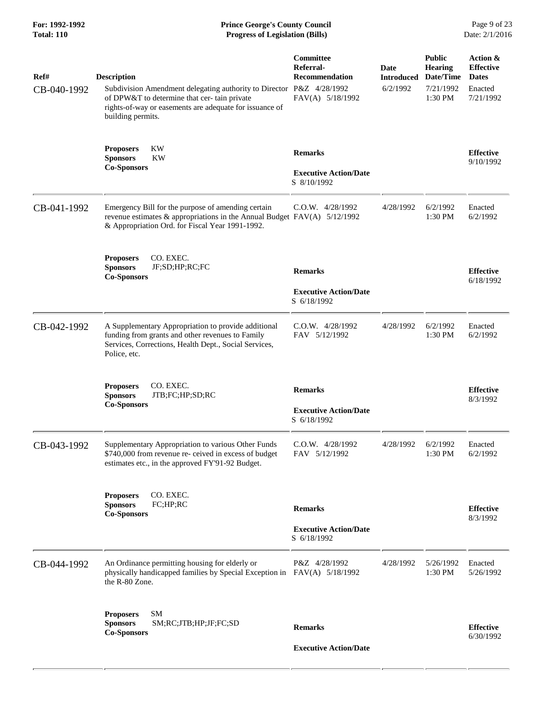| For: 1992-1992<br><b>Total: 110</b> | <b>Prince George's County Council</b><br><b>Progress of Legislation (Bills)</b>                                                                                                                                           |                                                                     |                                       |                                                                      | Page 9 of 23<br>Date: 2/1/2016                                       |
|-------------------------------------|---------------------------------------------------------------------------------------------------------------------------------------------------------------------------------------------------------------------------|---------------------------------------------------------------------|---------------------------------------|----------------------------------------------------------------------|----------------------------------------------------------------------|
| Ref#<br>CB-040-1992                 | <b>Description</b><br>Subdivision Amendment delegating authority to Director P&Z 4/28/1992<br>of DPW&T to determine that cer-tain private<br>rights-of-way or easements are adequate for issuance of<br>building permits. | Committee<br>Referral-<br><b>Recommendation</b><br>FAV(A) 5/18/1992 | Date<br><b>Introduced</b><br>6/2/1992 | <b>Public</b><br><b>Hearing</b><br>Date/Time<br>7/21/1992<br>1:30 PM | Action &<br><b>Effective</b><br><b>Dates</b><br>Enacted<br>7/21/1992 |
|                                     | KW<br><b>Proposers</b><br>KW<br><b>Sponsors</b><br><b>Co-Sponsors</b>                                                                                                                                                     | <b>Remarks</b><br><b>Executive Action/Date</b>                      |                                       |                                                                      | <b>Effective</b><br>9/10/1992                                        |
| CB-041-1992                         | Emergency Bill for the purpose of amending certain<br>revenue estimates & appropriations in the Annual Budget $FAV(A)$ 5/12/1992<br>& Appropriation Ord. for Fiscal Year 1991-1992.                                       | S 8/10/1992<br>$C.0.W.$ 4/28/1992                                   | 4/28/1992                             | 6/2/1992<br>1:30 PM                                                  | Enacted<br>6/2/1992                                                  |
|                                     | CO. EXEC.<br><b>Proposers</b><br><b>Sponsors</b><br>JF;SD;HP;RC;FC<br><b>Co-Sponsors</b>                                                                                                                                  | <b>Remarks</b><br><b>Executive Action/Date</b><br>S 6/18/1992       |                                       |                                                                      | <b>Effective</b><br>6/18/1992                                        |
| CB-042-1992                         | A Supplementary Appropriation to provide additional<br>funding from grants and other revenues to Family<br>Services, Corrections, Health Dept., Social Services,<br>Police, etc.                                          | $C.0.W.$ 4/28/1992<br>FAV 5/12/1992                                 | 4/28/1992                             | 6/2/1992<br>$1:30$ PM                                                | Enacted<br>6/2/1992                                                  |
|                                     | CO. EXEC.<br><b>Proposers</b><br><b>Sponsors</b><br>JTB;FC;HP;SD;RC<br><b>Co-Sponsors</b>                                                                                                                                 | <b>Remarks</b><br><b>Executive Action/Date</b><br>S 6/18/1992       |                                       |                                                                      | <b>Effective</b><br>8/3/1992                                         |
| CB-043-1992                         | Supplementary Appropriation to various Other Funds<br>\$740,000 from revenue re- ceived in excess of budget<br>estimates etc., in the approved FY'91-92 Budget.                                                           | C.O.W. 4/28/1992<br>FAV 5/12/1992                                   | 4/28/1992                             | 6/2/1992<br>1:30 PM                                                  | Enacted<br>6/2/1992                                                  |
|                                     | CO. EXEC.<br><b>Proposers</b><br><b>Sponsors</b><br>FC;HP;RC<br><b>Co-Sponsors</b>                                                                                                                                        | <b>Remarks</b><br><b>Executive Action/Date</b><br>S 6/18/1992       |                                       |                                                                      | <b>Effective</b><br>8/3/1992                                         |
| CB-044-1992                         | An Ordinance permitting housing for elderly or<br>physically handicapped families by Special Exception in<br>the R-80 Zone.                                                                                               | P&Z 4/28/1992<br>FAV(A) 5/18/1992                                   | 4/28/1992                             | 5/26/1992<br>1:30 PM                                                 | Enacted<br>5/26/1992                                                 |
|                                     | <b>SM</b><br><b>Proposers</b><br><b>Sponsors</b><br>SM;RC;JTB;HP;JF;FC;SD<br><b>Co-Sponsors</b>                                                                                                                           | <b>Remarks</b><br><b>Executive Action/Date</b>                      |                                       |                                                                      | <b>Effective</b><br>6/30/1992                                        |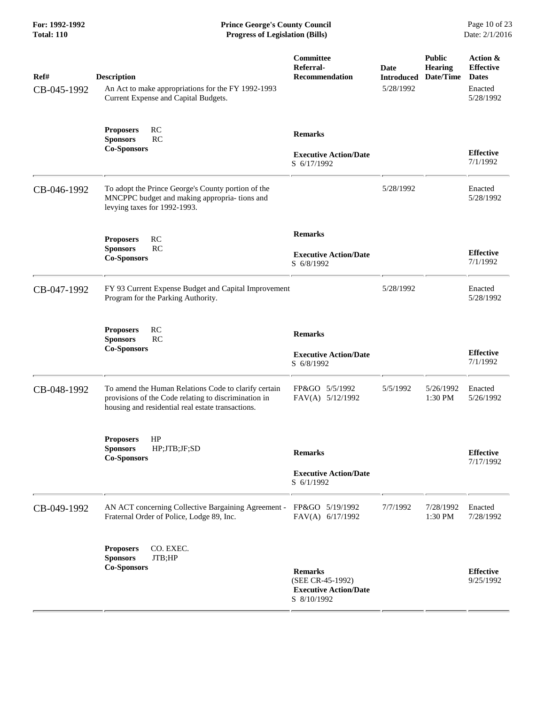| Ref#<br>CB-045-1992 | <b>Description</b><br>An Act to make appropriations for the FY 1992-1993<br>Current Expense and Capital Budgets.                                                  | Committee<br>Referral-<br><b>Recommendation</b>                                   | Date<br><b>Introduced</b><br>5/28/1992 | <b>Public</b><br><b>Hearing</b><br>Date/Time | Action &<br><b>Effective</b><br><b>Dates</b><br>Enacted<br>5/28/1992 |
|---------------------|-------------------------------------------------------------------------------------------------------------------------------------------------------------------|-----------------------------------------------------------------------------------|----------------------------------------|----------------------------------------------|----------------------------------------------------------------------|
|                     | RC<br><b>Proposers</b><br>RC<br><b>Sponsors</b><br><b>Co-Sponsors</b>                                                                                             | <b>Remarks</b><br><b>Executive Action/Date</b><br>S 6/17/1992                     |                                        |                                              | <b>Effective</b><br>7/1/1992                                         |
| CB-046-1992         | To adopt the Prince George's County portion of the<br>MNCPPC budget and making appropria- tions and<br>levying taxes for 1992-1993.                               |                                                                                   | 5/28/1992                              |                                              | Enacted<br>5/28/1992                                                 |
|                     | <b>RC</b><br><b>Proposers</b><br>RC<br><b>Sponsors</b><br><b>Co-Sponsors</b>                                                                                      | <b>Remarks</b><br><b>Executive Action/Date</b><br>S 6/8/1992                      |                                        |                                              | <b>Effective</b><br>7/1/1992                                         |
| CB-047-1992         | FY 93 Current Expense Budget and Capital Improvement<br>Program for the Parking Authority.                                                                        |                                                                                   | 5/28/1992                              |                                              | Enacted<br>5/28/1992                                                 |
|                     | <b>RC</b><br><b>Proposers</b><br><b>Sponsors</b><br>RC<br><b>Co-Sponsors</b>                                                                                      | <b>Remarks</b><br><b>Executive Action/Date</b><br>S 6/8/1992                      |                                        |                                              | <b>Effective</b><br>7/1/1992                                         |
| CB-048-1992         | To amend the Human Relations Code to clarify certain<br>provisions of the Code relating to discrimination in<br>housing and residential real estate transactions. | FP&GO 5/5/1992<br>FAV(A) 5/12/1992                                                | 5/5/1992                               | 5/26/1992<br>1:30 PM                         | Enacted<br>5/26/1992                                                 |
|                     | HP<br><b>Proposers</b><br>HP;JTB;JF;SD<br><b>Sponsors</b><br><b>Co-Sponsors</b>                                                                                   | <b>Remarks</b><br><b>Executive Action/Date</b><br>S 6/1/1992                      |                                        |                                              | <b>Effective</b><br>7/17/1992                                        |
| CB-049-1992         | AN ACT concerning Collective Bargaining Agreement -<br>Fraternal Order of Police, Lodge 89, Inc.                                                                  | FP&GO 5/19/1992<br>FAV(A) 6/17/1992                                               | 7/7/1992                               | 7/28/1992<br>1:30 PM                         | Enacted<br>7/28/1992                                                 |
|                     | CO. EXEC.<br><b>Proposers</b><br><b>Sponsors</b><br>JTB;HP<br><b>Co-Sponsors</b>                                                                                  | <b>Remarks</b><br>(SEE CR-45-1992)<br><b>Executive Action/Date</b><br>S 8/10/1992 |                                        |                                              | <b>Effective</b><br>9/25/1992                                        |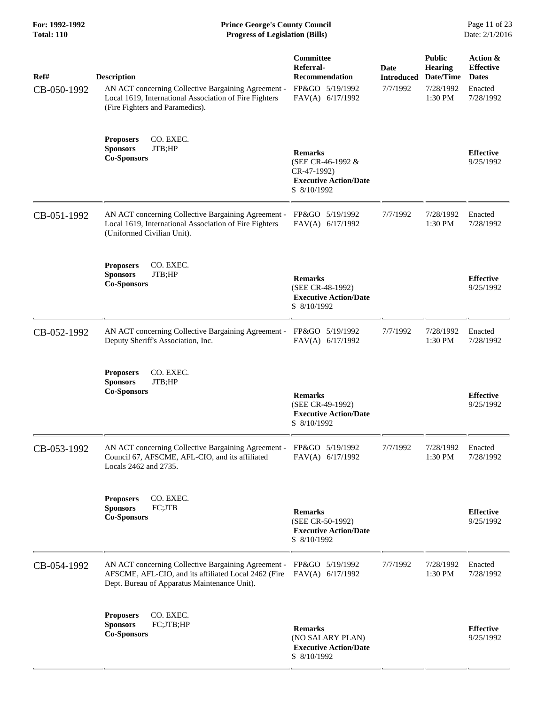| For: 1992-1992<br><b>Total: 110</b> | <b>Prince George's County Council</b><br><b>Progress of Legislation (Bills)</b>                                                                                        |                                                                                                   |                                       |                                                                        | Page 11 of 23<br>Date: 2/1/2016                                      |
|-------------------------------------|------------------------------------------------------------------------------------------------------------------------------------------------------------------------|---------------------------------------------------------------------------------------------------|---------------------------------------|------------------------------------------------------------------------|----------------------------------------------------------------------|
| Ref#<br>CB-050-1992                 | <b>Description</b><br>AN ACT concerning Collective Bargaining Agreement -<br>Local 1619, International Association of Fire Fighters<br>(Fire Fighters and Paramedics). | Committee<br>Referral-<br><b>Recommendation</b><br>FP&GO 5/19/1992<br>FAV(A) 6/17/1992            | Date<br><b>Introduced</b><br>7/7/1992 | <b>Public</b><br><b>Hearing</b><br>Date/Time<br>7/28/1992<br>$1:30$ PM | Action &<br><b>Effective</b><br><b>Dates</b><br>Enacted<br>7/28/1992 |
|                                     | <b>Proposers</b><br>CO. EXEC.<br><b>Sponsors</b><br>JTB;HP<br><b>Co-Sponsors</b>                                                                                       | <b>Remarks</b><br>(SEE CR-46-1992 &<br>CR-47-1992)<br><b>Executive Action/Date</b><br>S 8/10/1992 |                                       |                                                                        | <b>Effective</b><br>9/25/1992                                        |
| CB-051-1992                         | AN ACT concerning Collective Bargaining Agreement -<br>Local 1619, International Association of Fire Fighters<br>(Uniformed Civilian Unit).                            | FP&GO 5/19/1992<br>FAV(A) 6/17/1992                                                               | 7/7/1992                              | 7/28/1992<br>1:30 PM                                                   | Enacted<br>7/28/1992                                                 |
|                                     | <b>Proposers</b><br>CO. EXEC.<br>JTB;HP<br><b>Sponsors</b><br><b>Co-Sponsors</b>                                                                                       | <b>Remarks</b><br>(SEE CR-48-1992)<br><b>Executive Action/Date</b><br>S 8/10/1992                 |                                       |                                                                        | <b>Effective</b><br>9/25/1992                                        |
| CB-052-1992                         | AN ACT concerning Collective Bargaining Agreement -<br>Deputy Sheriff's Association, Inc.                                                                              | FP&GO 5/19/1992<br>FAV(A) 6/17/1992                                                               | 7/7/1992                              | 7/28/1992<br>1:30 PM                                                   | Enacted<br>7/28/1992                                                 |
|                                     | CO. EXEC.<br><b>Proposers</b><br><b>Sponsors</b><br>JTB;HP<br><b>Co-Sponsors</b>                                                                                       | <b>Remarks</b><br>(SEE CR-49-1992)<br><b>Executive Action/Date</b><br>S 8/10/1992                 |                                       |                                                                        | <b>Effective</b><br>9/25/1992                                        |
| CB-053-1992                         | AN ACT concerning Collective Bargaining Agreement -<br>Council 67, AFSCME, AFL-CIO, and its affiliated<br>Locals 2462 and 2735.                                        | FP&GO 5/19/1992<br>FAV(A) 6/17/1992                                                               | 7/7/1992                              | 7/28/1992<br>1:30 PM                                                   | Enacted<br>7/28/1992                                                 |
|                                     | CO. EXEC.<br><b>Proposers</b><br><b>Sponsors</b><br>FC;JTB<br><b>Co-Sponsors</b>                                                                                       | <b>Remarks</b><br>(SEE CR-50-1992)<br><b>Executive Action/Date</b><br>S 8/10/1992                 |                                       |                                                                        | <b>Effective</b><br>9/25/1992                                        |
| CB-054-1992                         | AN ACT concerning Collective Bargaining Agreement -<br>AFSCME, AFL-CIO, and its affiliated Local 2462 (Fire<br>Dept. Bureau of Apparatus Maintenance Unit).            | FP&GO 5/19/1992<br>FAV(A) 6/17/1992                                                               | 7/7/1992                              | 7/28/1992<br>1:30 PM                                                   | Enacted<br>7/28/1992                                                 |
|                                     | CO. EXEC.<br><b>Proposers</b><br><b>Sponsors</b><br>FC;JTB;HP<br><b>Co-Sponsors</b>                                                                                    | <b>Remarks</b><br>(NO SALARY PLAN)<br><b>Executive Action/Date</b><br>S 8/10/1992                 |                                       |                                                                        | <b>Effective</b><br>9/25/1992                                        |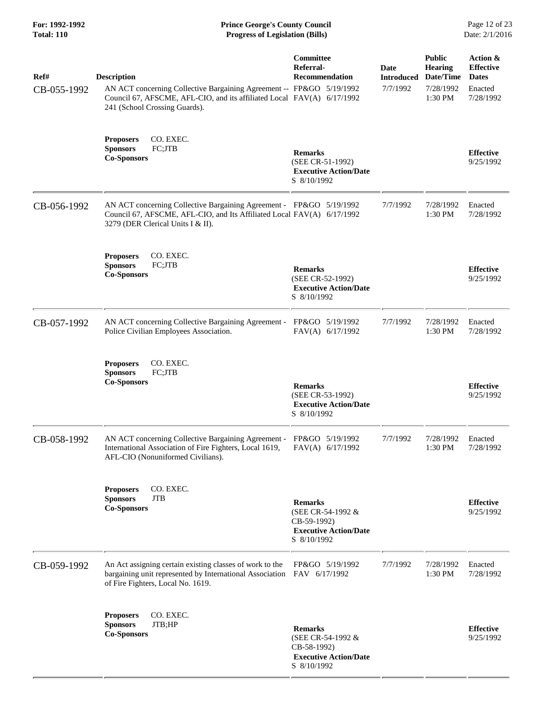**For: 1992-1992 Prince George's County Council** Page 12 of 23<br> **Prince George's County Council** Page 12 of 23<br> **Progress of Legislation (Bills)** Date: 2/1/2016 **Total: 110 Progress of Legislation (Bills)** 

| Ref#<br>CB-055-1992 | <b>Description</b><br>AN ACT concerning Collective Bargaining Agreement -- FP&GO 5/19/1992<br>Council 67, AFSCME, AFL-CIO, and its affiliated Local FAV(A) 6/17/1992<br>241 (School Crossing Guards). | Committee<br>Referral-<br><b>Recommendation</b>                                                   | Date<br><b>Introduced</b><br>7/7/1992 | <b>Public</b><br><b>Hearing</b><br>Date/Time<br>7/28/1992<br>1:30 PM | Action &<br><b>Effective</b><br><b>Dates</b><br>Enacted<br>7/28/1992 |
|---------------------|-------------------------------------------------------------------------------------------------------------------------------------------------------------------------------------------------------|---------------------------------------------------------------------------------------------------|---------------------------------------|----------------------------------------------------------------------|----------------------------------------------------------------------|
|                     | <b>Proposers</b><br>CO. EXEC.<br><b>Sponsors</b><br>FC;JTB<br><b>Co-Sponsors</b>                                                                                                                      | <b>Remarks</b><br>(SEE CR-51-1992)<br><b>Executive Action/Date</b><br>S 8/10/1992                 |                                       |                                                                      | <b>Effective</b><br>9/25/1992                                        |
| CB-056-1992         | AN ACT concerning Collective Bargaining Agreement - FP&GO 5/19/1992<br>Council 67, AFSCME, AFL-CIO, and Its Affiliated Local FAV(A) 6/17/1992<br>3279 (DER Clerical Units I & II).                    |                                                                                                   | 7/7/1992                              | 7/28/1992<br>1:30 PM                                                 | Enacted<br>7/28/1992                                                 |
|                     | CO. EXEC.<br><b>Proposers</b><br><b>Sponsors</b><br>FC;JTB<br><b>Co-Sponsors</b>                                                                                                                      | <b>Remarks</b><br>(SEE CR-52-1992)<br><b>Executive Action/Date</b><br>S 8/10/1992                 |                                       |                                                                      | <b>Effective</b><br>9/25/1992                                        |
| CB-057-1992         | AN ACT concerning Collective Bargaining Agreement -<br>Police Civilian Employees Association.                                                                                                         | FP&GO 5/19/1992<br>FAV(A) 6/17/1992                                                               | 7/7/1992                              | 7/28/1992<br>1:30 PM                                                 | Enacted<br>7/28/1992                                                 |
|                     | <b>Proposers</b><br>CO. EXEC.<br><b>Sponsors</b><br>FC;JTB<br><b>Co-Sponsors</b>                                                                                                                      | <b>Remarks</b><br>(SEE CR-53-1992)<br><b>Executive Action/Date</b><br>S 8/10/1992                 |                                       |                                                                      | <b>Effective</b><br>9/25/1992                                        |
| CB-058-1992         | AN ACT concerning Collective Bargaining Agreement - FP&GO 5/19/1992<br>International Association of Fire Fighters, Local 1619,<br>AFL-CIO (Nonuniformed Civilians).                                   | FAV(A) 6/17/1992                                                                                  | 7/7/1992                              | 7/28/1992<br>1:30 PM                                                 | Enacted<br>7/28/1992                                                 |
|                     | CO. EXEC.<br><b>Proposers</b><br><b>Sponsors</b><br>JTB<br><b>Co-Sponsors</b>                                                                                                                         | <b>Remarks</b><br>(SEE CR-54-1992 &<br>CB-59-1992)<br><b>Executive Action/Date</b><br>S 8/10/1992 |                                       |                                                                      | <b>Effective</b><br>9/25/1992                                        |
| CB-059-1992         | An Act assigning certain existing classes of work to the<br>bargaining unit represented by International Association<br>of Fire Fighters, Local No. 1619.                                             | FP&GO 5/19/1992<br>FAV 6/17/1992                                                                  | 7/7/1992                              | 7/28/1992<br>1:30 PM                                                 | Enacted<br>7/28/1992                                                 |
|                     | CO. EXEC.<br><b>Proposers</b><br><b>Sponsors</b><br>JTB;HP<br><b>Co-Sponsors</b>                                                                                                                      | <b>Remarks</b><br>(SEE CR-54-1992 &<br>CB-58-1992)<br><b>Executive Action/Date</b><br>S 8/10/1992 |                                       |                                                                      | <b>Effective</b><br>9/25/1992                                        |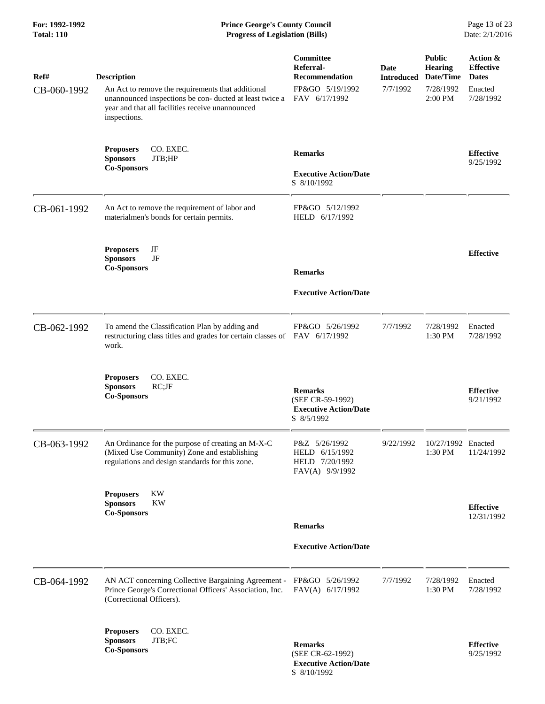| Ref#        | <b>Description</b>                                                                                                                                                               | Committee<br>Referral-<br><b>Recommendation</b>                                  | Date<br><b>Introduced</b> | <b>Public</b><br><b>Hearing</b><br>Date/Time | Action &<br><b>Effective</b><br><b>Dates</b> |
|-------------|----------------------------------------------------------------------------------------------------------------------------------------------------------------------------------|----------------------------------------------------------------------------------|---------------------------|----------------------------------------------|----------------------------------------------|
| CB-060-1992 | An Act to remove the requirements that additional<br>unannounced inspections be con- ducted at least twice a<br>year and that all facilities receive unannounced<br>inspections. | FP&GO 5/19/1992<br>FAV 6/17/1992                                                 | 7/7/1992                  | 7/28/1992<br>2:00 PM                         | Enacted<br>7/28/1992                         |
|             | CO. EXEC.<br><b>Proposers</b><br><b>Sponsors</b><br>JTB;HP<br><b>Co-Sponsors</b>                                                                                                 | <b>Remarks</b><br><b>Executive Action/Date</b><br>S 8/10/1992                    |                           |                                              | <b>Effective</b><br>9/25/1992                |
| CB-061-1992 | An Act to remove the requirement of labor and<br>materialmen's bonds for certain permits.                                                                                        | FP&GO 5/12/1992<br>HELD 6/17/1992                                                |                           |                                              |                                              |
|             | JF<br><b>Proposers</b><br>JF<br><b>Sponsors</b><br><b>Co-Sponsors</b>                                                                                                            | <b>Remarks</b>                                                                   |                           |                                              | <b>Effective</b>                             |
|             |                                                                                                                                                                                  | <b>Executive Action/Date</b>                                                     |                           |                                              |                                              |
| CB-062-1992 | To amend the Classification Plan by adding and<br>restructuring class titles and grades for certain classes of FAV 6/17/1992<br>work.                                            | FP&GO 5/26/1992                                                                  | 7/7/1992                  | 7/28/1992<br>1:30 PM                         | Enacted<br>7/28/1992                         |
|             | <b>Proposers</b><br>CO. EXEC.<br><b>Sponsors</b><br>$RC;$ J $F$<br><b>Co-Sponsors</b>                                                                                            | <b>Remarks</b><br>(SEE CR-59-1992)<br><b>Executive Action/Date</b><br>S 8/5/1992 |                           |                                              | <b>Effective</b><br>9/21/1992                |
| CB-063-1992 | An Ordinance for the purpose of creating an M-X-C<br>(Mixed Use Community) Zone and establishing<br>regulations and design standards for this zone.                              | P&Z 5/26/1992<br>HELD 6/15/1992<br>HELD 7/20/1992<br>FAV(A) 9/9/1992             | 9/22/1992                 | 10/27/1992 Enacted<br>1:30 PM                | 11/24/1992                                   |
|             | <b>Proposers</b><br>KW<br><b>Sponsors</b><br>KW<br><b>Co-Sponsors</b>                                                                                                            | <b>Remarks</b>                                                                   |                           |                                              | <b>Effective</b><br>12/31/1992               |
|             |                                                                                                                                                                                  | <b>Executive Action/Date</b>                                                     |                           |                                              |                                              |
| CB-064-1992 | AN ACT concerning Collective Bargaining Agreement -<br>Prince George's Correctional Officers' Association, Inc.<br>(Correctional Officers).                                      | FP&GO 5/26/1992<br>FAV(A) 6/17/1992                                              | 7/7/1992                  | 7/28/1992<br>1:30 PM                         | Enacted<br>7/28/1992                         |
|             | CO. EXEC.<br><b>Proposers</b><br><b>Sponsors</b><br>JTB;FC<br><b>Co-Sponsors</b>                                                                                                 | <b>Remarks</b><br>(SEE CR-62-1992)<br><b>Executive Action/Date</b>               |                           |                                              | <b>Effective</b><br>9/25/1992                |

S 8/10/1992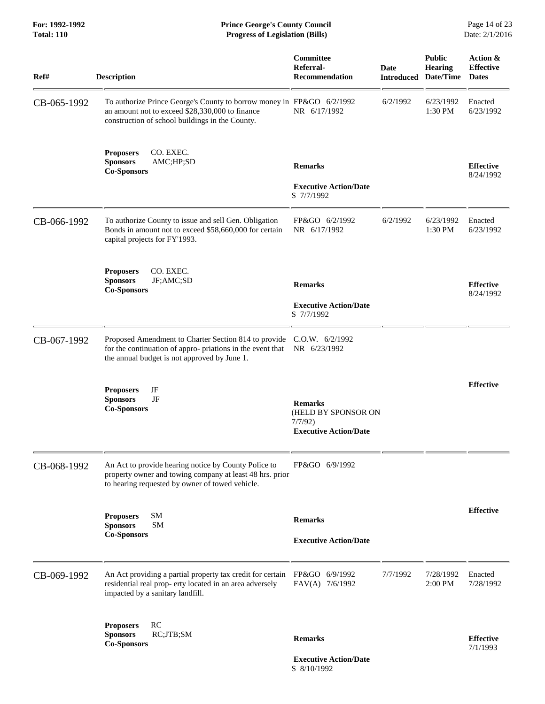**For: 1992-1992 Prince George's County Council** Page 14 of 23<br> **Prince George's County Council** Page 14 of 23<br> **Progress of Legislation (Bills)** Date: 2/1/2016 **Total: 110 Progress of Legislation (Bills)** 

| Ref#        | <b>Description</b>                                                                                                                                                                | Committee<br>Referral-<br><b>Recommendation</b>                                 | <b>Date</b><br><b>Introduced</b> | <b>Public</b><br><b>Hearing</b><br>Date/Time | Action &<br><b>Effective</b><br><b>Dates</b> |
|-------------|-----------------------------------------------------------------------------------------------------------------------------------------------------------------------------------|---------------------------------------------------------------------------------|----------------------------------|----------------------------------------------|----------------------------------------------|
| CB-065-1992 | To authorize Prince George's County to borrow money in FP&GO 6/2/1992<br>an amount not to exceed \$28,330,000 to finance<br>construction of school buildings in the County.       | NR 6/17/1992                                                                    | 6/2/1992                         | 6/23/1992<br>1:30 PM                         | Enacted<br>6/23/1992                         |
|             | CO. EXEC.<br><b>Proposers</b><br><b>Sponsors</b><br>AMC;HP;SD<br><b>Co-Sponsors</b>                                                                                               | <b>Remarks</b><br><b>Executive Action/Date</b><br>S 7/7/1992                    |                                  |                                              | <b>Effective</b><br>8/24/1992                |
| CB-066-1992 | To authorize County to issue and sell Gen. Obligation<br>Bonds in amount not to exceed \$58,660,000 for certain<br>capital projects for FY'1993.                                  | FP&GO 6/2/1992<br>NR 6/17/1992                                                  | 6/2/1992                         | 6/23/1992<br>1:30 PM                         | Enacted<br>6/23/1992                         |
|             | <b>Proposers</b><br>CO. EXEC.<br><b>Sponsors</b><br>JF;AMC;SD<br><b>Co-Sponsors</b>                                                                                               | <b>Remarks</b><br><b>Executive Action/Date</b><br>S 7/7/1992                    |                                  |                                              | <b>Effective</b><br>8/24/1992                |
| CB-067-1992 | Proposed Amendment to Charter Section 814 to provide C.O.W. 6/2/1992<br>for the continuation of appro-priations in the event that<br>the annual budget is not approved by June 1. | NR 6/23/1992                                                                    |                                  |                                              |                                              |
|             | JF<br><b>Proposers</b><br>JF<br><b>Sponsors</b><br><b>Co-Sponsors</b>                                                                                                             | <b>Remarks</b><br>(HELD BY SPONSOR ON<br>7/7/92<br><b>Executive Action/Date</b> |                                  |                                              | <b>Effective</b>                             |
| CB-068-1992 | An Act to provide hearing notice by County Police to<br>property owner and towing company at least 48 hrs. prior<br>to hearing requested by owner of towed vehicle.               | FP&GO 6/9/1992                                                                  |                                  |                                              |                                              |
|             | SM<br><b>Proposers</b><br><b>SM</b><br><b>Sponsors</b><br><b>Co-Sponsors</b>                                                                                                      | <b>Remarks</b><br><b>Executive Action/Date</b>                                  |                                  |                                              | <b>Effective</b>                             |
| CB-069-1992 | An Act providing a partial property tax credit for certain<br>residential real prop- erty located in an area adversely<br>impacted by a sanitary landfill.                        | FP&GO 6/9/1992<br>FAV(A) 7/6/1992                                               | 7/7/1992                         | 7/28/1992<br>2:00 PM                         | Enacted<br>7/28/1992                         |
|             | <b>RC</b><br><b>Proposers</b><br><b>Sponsors</b><br>RC;JTB;SM<br><b>Co-Sponsors</b>                                                                                               | <b>Remarks</b><br><b>Executive Action/Date</b>                                  |                                  |                                              | <b>Effective</b><br>7/1/1993                 |

S 8/10/1992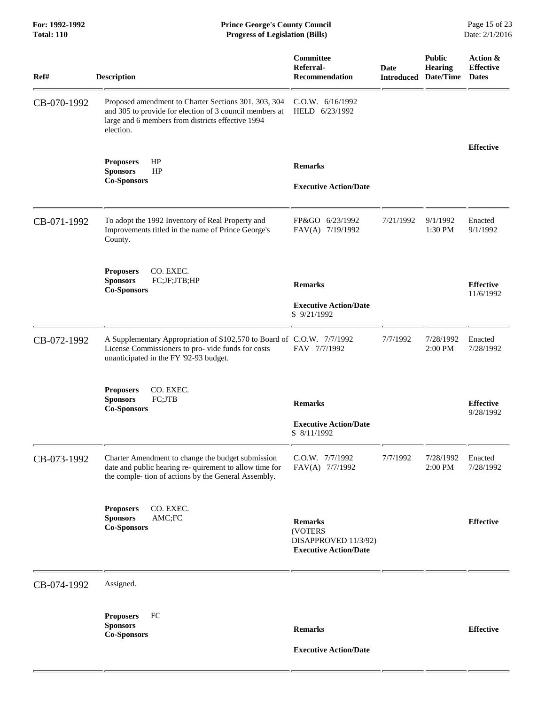**For: 1992-1992 Prince George's County Council** Page 15 of 23<br> **Prince George's County Council** Page 15 of 23<br> **Progress of Legislation (Bills)** Date: 2/1/2016 **Total: 110 Progress of Legislation (Bills)** 

| Ref#        | <b>Description</b>                                                                                                                                                                | Committee<br>Referral-<br><b>Recommendation</b>                                   | Date<br><b>Introduced</b> | <b>Public</b><br><b>Hearing</b><br>Date/Time | Action &<br><b>Effective</b><br><b>Dates</b> |
|-------------|-----------------------------------------------------------------------------------------------------------------------------------------------------------------------------------|-----------------------------------------------------------------------------------|---------------------------|----------------------------------------------|----------------------------------------------|
| CB-070-1992 | Proposed amendment to Charter Sections 301, 303, 304<br>and 305 to provide for election of 3 council members at<br>large and 6 members from districts effective 1994<br>election. | C.O.W. 6/16/1992<br>HELD 6/23/1992                                                |                           |                                              |                                              |
|             | HP<br><b>Proposers</b><br><b>Sponsors</b><br>HP<br><b>Co-Sponsors</b>                                                                                                             | <b>Remarks</b><br><b>Executive Action/Date</b>                                    |                           |                                              | <b>Effective</b>                             |
| CB-071-1992 | To adopt the 1992 Inventory of Real Property and<br>Improvements titled in the name of Prince George's<br>County.                                                                 | FP&GO 6/23/1992<br>FAV(A) 7/19/1992                                               | 7/21/1992                 | 9/1/1992<br>1:30 PM                          | Enacted<br>9/1/1992                          |
|             | CO. EXEC.<br><b>Proposers</b><br>FC;JF;JTB;HP<br><b>Sponsors</b><br><b>Co-Sponsors</b>                                                                                            | <b>Remarks</b><br><b>Executive Action/Date</b><br>S 9/21/1992                     |                           |                                              | <b>Effective</b><br>11/6/1992                |
| CB-072-1992 | A Supplementary Appropriation of \$102,570 to Board of C.O.W. 7/7/1992<br>License Commissioners to pro-vide funds for costs<br>unanticipated in the FY '92-93 budget.             | FAV 7/7/1992                                                                      | 7/7/1992                  | 7/28/1992<br>2:00 PM                         | Enacted<br>7/28/1992                         |
|             | <b>Proposers</b><br>CO. EXEC.<br>FC;JTB<br><b>Sponsors</b><br><b>Co-Sponsors</b>                                                                                                  | <b>Remarks</b><br><b>Executive Action/Date</b><br>S 8/11/1992                     |                           |                                              | <b>Effective</b><br>9/28/1992                |
| CB-073-1992 | Charter Amendment to change the budget submission<br>date and public hearing re- quirement to allow time for<br>the comple- tion of actions by the General Assembly.              | C.O.W. 7/7/1992<br>FAV(A) 7/7/1992                                                | 7/7/1992                  | 7/28/1992<br>2:00 PM                         | Enacted<br>7/28/1992                         |
|             | CO. EXEC.<br><b>Proposers</b><br><b>Sponsors</b><br>AMC;FC<br><b>Co-Sponsors</b>                                                                                                  | <b>Remarks</b><br>(VOTERS<br>DISAPPROVED 11/3/92)<br><b>Executive Action/Date</b> |                           |                                              | <b>Effective</b>                             |
| CB-074-1992 | Assigned.                                                                                                                                                                         |                                                                                   |                           |                                              |                                              |
|             | FC<br><b>Proposers</b><br><b>Sponsors</b><br><b>Co-Sponsors</b>                                                                                                                   | <b>Remarks</b><br><b>Executive Action/Date</b>                                    |                           |                                              | <b>Effective</b>                             |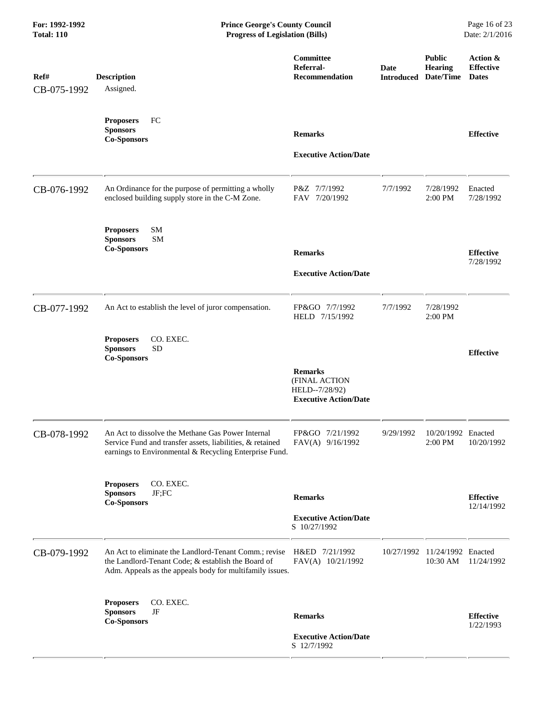| For: 1992-1992<br><b>Total: 110</b> | <b>Prince George's County Council</b><br>Page 16 of 23<br><b>Progress of Legislation (Bills)</b><br>Date: 2/1/2016                                                       |                                                                                   |                           |                                              |                                              |
|-------------------------------------|--------------------------------------------------------------------------------------------------------------------------------------------------------------------------|-----------------------------------------------------------------------------------|---------------------------|----------------------------------------------|----------------------------------------------|
| Ref#<br>CB-075-1992                 | <b>Description</b><br>Assigned.                                                                                                                                          | Committee<br>Referral-<br><b>Recommendation</b>                                   | Date<br><b>Introduced</b> | <b>Public</b><br><b>Hearing</b><br>Date/Time | Action &<br><b>Effective</b><br><b>Dates</b> |
|                                     | <b>Proposers</b><br>FC<br><b>Sponsors</b><br><b>Co-Sponsors</b>                                                                                                          | <b>Remarks</b><br><b>Executive Action/Date</b>                                    |                           |                                              | <b>Effective</b>                             |
| CB-076-1992                         | An Ordinance for the purpose of permitting a wholly<br>enclosed building supply store in the C-M Zone.                                                                   | P&Z 7/7/1992<br>FAV 7/20/1992                                                     | 7/7/1992                  | 7/28/1992<br>2:00 PM                         | Enacted<br>7/28/1992                         |
|                                     | <b>SM</b><br><b>Proposers</b><br>SM<br><b>Sponsors</b><br><b>Co-Sponsors</b>                                                                                             | <b>Remarks</b><br><b>Executive Action/Date</b>                                    |                           |                                              | <b>Effective</b><br>7/28/1992                |
| CB-077-1992                         | An Act to establish the level of juror compensation.                                                                                                                     | FP&GO 7/7/1992<br>HELD 7/15/1992                                                  | 7/7/1992                  | 7/28/1992<br>2:00 PM                         |                                              |
|                                     | CO. EXEC.<br><b>Proposers</b><br><b>SD</b><br><b>Sponsors</b><br><b>Co-Sponsors</b>                                                                                      | <b>Remarks</b><br>(FINAL ACTION<br>HELD--7/28/92)<br><b>Executive Action/Date</b> |                           |                                              | <b>Effective</b>                             |
| CB-078-1992                         | An Act to dissolve the Methane Gas Power Internal<br>Service Fund and transfer assets, liabilities, & retained<br>earnings to Environmental & Recycling Enterprise Fund. | FP&GO 7/21/1992<br>FAV(A) 9/16/1992                                               | 9/29/1992                 | 10/20/1992 Enacted<br>2:00 PM                | 10/20/1992                                   |
|                                     | <b>Proposers</b><br>CO. EXEC.<br>JF;FC<br><b>Sponsors</b><br><b>Co-Sponsors</b>                                                                                          | <b>Remarks</b><br><b>Executive Action/Date</b><br>S 10/27/1992                    |                           |                                              | <b>Effective</b><br>12/14/1992               |
| CB-079-1992                         | An Act to eliminate the Landlord-Tenant Comm.; revise<br>the Landlord-Tenant Code; & establish the Board of<br>Adm. Appeals as the appeals body for multifamily issues.  | H&ED 7/21/1992<br>FAV(A) 10/21/1992                                               |                           | 10/27/1992 11/24/1992 Enacted<br>10:30 AM    | 11/24/1992                                   |
|                                     | CO. EXEC.<br><b>Proposers</b><br><b>Sponsors</b><br>$\rm{JF}$<br><b>Co-Sponsors</b>                                                                                      | <b>Remarks</b><br><b>Executive Action/Date</b><br>S 12/7/1992                     |                           |                                              | <b>Effective</b><br>1/22/1993                |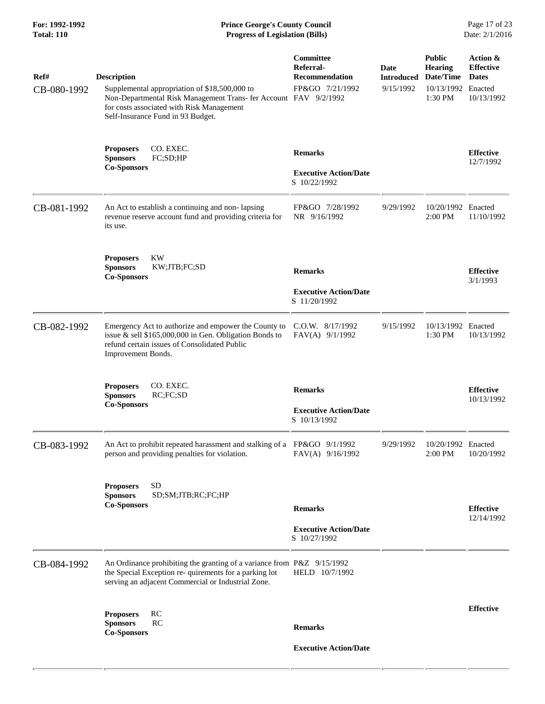#### **For: 1992-1992 Prince George's County Council** Page 17 of 23<br> **Prince George's County Council** Page 17 of 23<br> **Progress of Legislation (Bills)** Date: 2/1/2016 **Total: 110 Progress of Legislation (Bills)**

| Ref#<br>CB-080-1992 | <b>Description</b><br>Supplemental appropriation of \$18,500,000 to<br>Non-Departmental Risk Management Trans- fer Account FAV 9/2/1992<br>for costs associated with Risk Management<br>Self-Insurance Fund in 93 Budget. | Committee<br>Referral-<br><b>Recommendation</b><br>FP&GO 7/21/1992 | Date<br><b>Introduced</b><br>9/15/1992 | <b>Public</b><br>Hearing<br>Date/Time<br>10/13/1992 Enacted<br>1:30 PM | Action &<br><b>Effective</b><br><b>Dates</b><br>10/13/1992 |
|---------------------|---------------------------------------------------------------------------------------------------------------------------------------------------------------------------------------------------------------------------|--------------------------------------------------------------------|----------------------------------------|------------------------------------------------------------------------|------------------------------------------------------------|
|                     | CO. EXEC.<br><b>Proposers</b><br><b>Sponsors</b><br>FC;SD;HP<br><b>Co-Sponsors</b>                                                                                                                                        | <b>Remarks</b><br><b>Executive Action/Date</b><br>S 10/22/1992     |                                        |                                                                        | <b>Effective</b><br>12/7/1992                              |
| CB-081-1992         | An Act to establish a continuing and non-lapsing<br>revenue reserve account fund and providing criteria for<br>its use.                                                                                                   | FP&GO 7/28/1992<br>NR 9/16/1992                                    | 9/29/1992                              | 10/20/1992 Enacted<br>2:00 PM                                          | 11/10/1992                                                 |
|                     | <b>KW</b><br><b>Proposers</b><br><b>Sponsors</b><br>KW;JTB;FC;SD<br><b>Co-Sponsors</b>                                                                                                                                    | <b>Remarks</b><br><b>Executive Action/Date</b><br>S 11/20/1992     |                                        |                                                                        | <b>Effective</b><br>3/1/1993                               |
| CB-082-1992         | Emergency Act to authorize and empower the County to<br>issue & sell \$165,000,000 in Gen. Obligation Bonds to<br>refund certain issues of Consolidated Public<br>Improvement Bonds.                                      | C.O.W. 8/17/1992<br>FAV(A) 9/1/1992                                | 9/15/1992                              | 10/13/1992 Enacted<br>1:30 PM                                          | 10/13/1992                                                 |
|                     | CO. EXEC.<br><b>Proposers</b><br><b>Sponsors</b><br>RC;FC;SD<br><b>Co-Sponsors</b>                                                                                                                                        | <b>Remarks</b><br><b>Executive Action/Date</b><br>S 10/13/1992     |                                        |                                                                        | <b>Effective</b><br>10/13/1992                             |
| CB-083-1992         | An Act to prohibit repeated harassment and stalking of a FP&GO 9/1/1992<br>person and providing penalties for violation.                                                                                                  | FAV(A) 9/16/1992                                                   | 9/29/1992                              | 10/20/1992 Enacted<br>2:00 PM                                          | 10/20/1992                                                 |
|                     | <b>SD</b><br><b>Proposers</b><br>SD;SM;JTB;RC;FC;HP<br><b>Sponsors</b><br><b>Co-Sponsors</b>                                                                                                                              | <b>Remarks</b><br><b>Executive Action/Date</b><br>S 10/27/1992     |                                        |                                                                        | <b>Effective</b><br>12/14/1992                             |
| CB-084-1992         | An Ordinance prohibiting the granting of a variance from P&Z 9/15/1992<br>the Special Exception re- quirements for a parking lot<br>serving an adjacent Commercial or Industrial Zone.                                    | HELD 10/7/1992                                                     |                                        |                                                                        |                                                            |
|                     | RC<br><b>Proposers</b><br>RC<br><b>Sponsors</b><br><b>Co-Sponsors</b>                                                                                                                                                     | <b>Remarks</b><br><b>Executive Action/Date</b>                     |                                        |                                                                        | <b>Effective</b>                                           |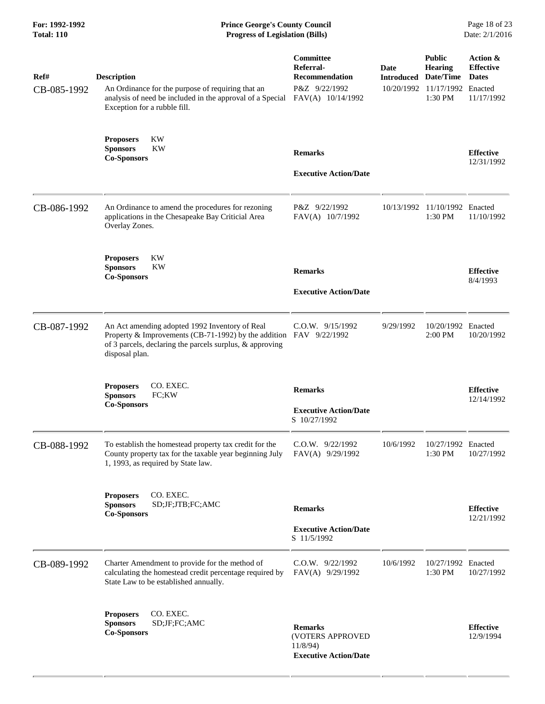## **For: 1992-1992 Prince George's County Council** Page 18 of 23<br> **Prince George's County Council** Page 18 of 23<br> **Progress of Legislation (Bills)** Date: 2/1/2016  $Progress$  of Legislation (Bills)

| Ref#<br>CB-085-1992 | <b>Description</b><br>An Ordinance for the purpose of requiring that an<br>analysis of need be included in the approval of a Special<br>Exception for a rubble fill.                               | Committee<br>Referral-<br><b>Recommendation</b><br>P&Z 9/22/1992<br>FAV(A) 10/14/1992 | <b>Date</b><br><b>Introduced Date/Time</b> | <b>Public</b><br><b>Hearing</b><br>10/20/1992 11/17/1992 Enacted<br>1:30 PM | Action &<br><b>Effective</b><br><b>Dates</b><br>11/17/1992 |
|---------------------|----------------------------------------------------------------------------------------------------------------------------------------------------------------------------------------------------|---------------------------------------------------------------------------------------|--------------------------------------------|-----------------------------------------------------------------------------|------------------------------------------------------------|
|                     | <b>Proposers</b><br>KW<br><b>Sponsors</b><br><b>KW</b><br><b>Co-Sponsors</b>                                                                                                                       | <b>Remarks</b><br><b>Executive Action/Date</b>                                        |                                            |                                                                             | <b>Effective</b><br>12/31/1992                             |
| CB-086-1992         | An Ordinance to amend the procedures for rezoning<br>applications in the Chesapeake Bay Criticial Area<br>Overlay Zones.                                                                           | P&Z 9/22/1992<br>FAV(A) 10/7/1992                                                     |                                            | 10/13/1992 11/10/1992 Enacted<br>1:30 PM                                    | 11/10/1992                                                 |
|                     | <b>Proposers</b><br>KW<br><b>Sponsors</b><br><b>KW</b><br><b>Co-Sponsors</b>                                                                                                                       | <b>Remarks</b><br><b>Executive Action/Date</b>                                        |                                            |                                                                             | <b>Effective</b><br>8/4/1993                               |
| CB-087-1992         | An Act amending adopted 1992 Inventory of Real<br>Property & Improvements (CB-71-1992) by the addition FAV 9/22/1992<br>of 3 parcels, declaring the parcels surplus, & approving<br>disposal plan. | C.O.W. 9/15/1992                                                                      | 9/29/1992                                  | 10/20/1992 Enacted<br>2:00 PM                                               | 10/20/1992                                                 |
|                     | CO. EXEC.<br><b>Proposers</b><br><b>Sponsors</b><br>FC;KW<br><b>Co-Sponsors</b>                                                                                                                    | <b>Remarks</b><br><b>Executive Action/Date</b><br>S 10/27/1992                        |                                            |                                                                             | <b>Effective</b><br>12/14/1992                             |
| CB-088-1992         | To establish the homestead property tax credit for the<br>County property tax for the taxable year beginning July<br>1, 1993, as required by State law.                                            | C.O.W. 9/22/1992<br>FAV(A) 9/29/1992                                                  | 10/6/1992                                  | 10/27/1992 Enacted<br>1:30 PM                                               | 10/27/1992                                                 |
|                     | CO. EXEC.<br><b>Proposers</b><br><b>Sponsors</b><br>SD;JF;JTB;FC;AMC<br><b>Co-Sponsors</b>                                                                                                         | <b>Remarks</b><br><b>Executive Action/Date</b><br>S 11/5/1992                         |                                            |                                                                             | <b>Effective</b><br>12/21/1992                             |
| CB-089-1992         | Charter Amendment to provide for the method of<br>calculating the homestead credit percentage required by<br>State Law to be established annually.                                                 | $C.0.W.$ 9/22/1992<br>FAV(A) 9/29/1992                                                | 10/6/1992                                  | 10/27/1992 Enacted<br>1:30 PM                                               | 10/27/1992                                                 |
|                     | CO. EXEC.<br><b>Proposers</b><br><b>Sponsors</b><br>SD;JF;FC;AMC<br><b>Co-Sponsors</b>                                                                                                             | <b>Remarks</b><br>(VOTERS APPROVED<br>11/8/94<br><b>Executive Action/Date</b>         |                                            |                                                                             | <b>Effective</b><br>12/9/1994                              |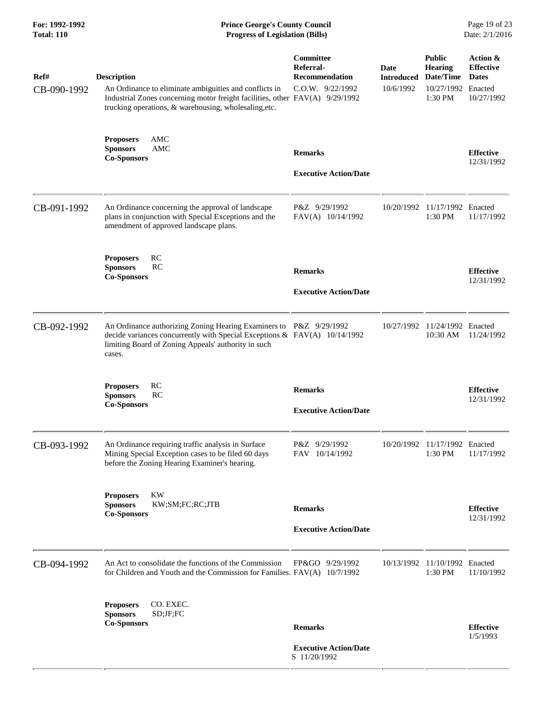| For: 1992-1992<br><b>Total: 110</b> | <b>Prince George's County Council</b><br><b>Progress of Legislation (Bills)</b>                                                                                                                                       |                                                                     |                                        |                                                                        | Page 19 of 23<br>Date: 2/1/2016                            |
|-------------------------------------|-----------------------------------------------------------------------------------------------------------------------------------------------------------------------------------------------------------------------|---------------------------------------------------------------------|----------------------------------------|------------------------------------------------------------------------|------------------------------------------------------------|
| Ref#<br>CB-090-1992                 | <b>Description</b><br>An Ordinance to eliminate ambiguities and conflicts in<br>Industrial Zones concerning motor freight facilities, other FAV(A) 9/29/1992<br>trucking operations, & warehousing, wholesaling, etc. | Committee<br>Referral-<br><b>Recommendation</b><br>C.O.W. 9/22/1992 | Date<br><b>Introduced</b><br>10/6/1992 | <b>Public</b><br>Hearing<br>Date/Time<br>10/27/1992 Enacted<br>1:30 PM | Action &<br><b>Effective</b><br><b>Dates</b><br>10/27/1992 |
|                                     | <b>Proposers</b><br>AMC<br>AMC<br><b>Sponsors</b><br><b>Co-Sponsors</b>                                                                                                                                               | <b>Remarks</b><br><b>Executive Action/Date</b>                      |                                        |                                                                        | <b>Effective</b><br>12/31/1992                             |
| CB-091-1992                         | An Ordinance concerning the approval of landscape<br>plans in conjunction with Special Exceptions and the<br>amendment of approved landscape plans.                                                                   | P&Z 9/29/1992<br>FAV(A) 10/14/1992                                  | 10/20/1992                             | 11/17/1992 Enacted<br>1:30 PM                                          | 11/17/1992                                                 |
|                                     | <b>RC</b><br><b>Proposers</b><br><b>Sponsors</b><br>RC<br><b>Co-Sponsors</b>                                                                                                                                          | <b>Remarks</b><br><b>Executive Action/Date</b>                      |                                        |                                                                        | <b>Effective</b><br>12/31/1992                             |
| CB-092-1992                         | An Ordinance authorizing Zoning Hearing Examiners to P&Z 9/29/1992<br>decide variances concurrently with Special Exceptions & FAV(A) 10/14/1992<br>limiting Board of Zoning Appeals' authority in such<br>cases.      |                                                                     |                                        | 10/27/1992 11/24/1992 Enacted<br>10:30 AM                              | 11/24/1992                                                 |
|                                     | <b>RC</b><br><b>Proposers</b><br><b>Sponsors</b><br>RC<br><b>Co-Sponsors</b>                                                                                                                                          | <b>Remarks</b><br><b>Executive Action/Date</b>                      |                                        |                                                                        | <b>Effective</b><br>12/31/1992                             |
| CB-093-1992                         | An Ordinance requiring traffic analysis in Surface<br>Mining Special Exception cases to be filed 60 days<br>before the Zoning Hearing Examiner's hearing.                                                             | P&Z 9/29/1992<br>FAV 10/14/1992                                     | 10/20/1992                             | 11/17/1992 Enacted<br>1:30 PM                                          | 11/17/1992                                                 |
|                                     | <b>KW</b><br><b>Proposers</b><br><b>Sponsors</b><br>KW;SM;FC;RC;JTB<br><b>Co-Sponsors</b>                                                                                                                             | <b>Remarks</b><br><b>Executive Action/Date</b>                      |                                        |                                                                        | <b>Effective</b><br>12/31/1992                             |
| CB-094-1992                         | An Act to consolidate the functions of the Commission<br>for Children and Youth and the Commission for Families. FAV(A) 10/7/1992                                                                                     | FP&GO 9/29/1992                                                     |                                        | 10/13/1992 11/10/1992 Enacted<br>1:30 PM                               | 11/10/1992                                                 |
|                                     | CO. EXEC.<br><b>Proposers</b><br><b>Sponsors</b><br>SD;JF;FC<br><b>Co-Sponsors</b>                                                                                                                                    | <b>Remarks</b><br><b>Executive Action/Date</b><br>S 11/20/1992      |                                        |                                                                        | <b>Effective</b><br>1/5/1993                               |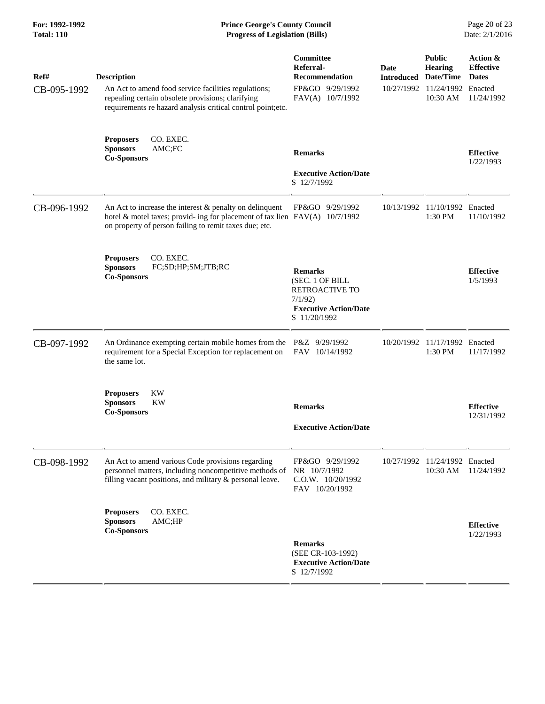### **For: 1992-1992 Prince George's County Council** Page 20 of 23<br> **Prince George's County Council** Page 20 of 23<br> **Progress of Legislation (Bills)** Date: 2/1/2016 **Total: 110 Progress of Legislation (Bills)**

| Ref#<br>CB-095-1992 | <b>Description</b><br>An Act to amend food service facilities regulations;<br>repealing certain obsolete provisions; clarifying<br>requirements re hazard analysis critical control point;etc.       | Committee<br>Referral-<br><b>Recommendation</b><br>FP&GO 9/29/1992<br>FAV(A) 10/7/1992                        | Date<br><b>Introduced Date/Time</b> | <b>Public</b><br><b>Hearing</b><br>10/27/1992 11/24/1992 Enacted<br>10:30 AM | Action &<br><b>Effective</b><br><b>Dates</b><br>11/24/1992 |
|---------------------|------------------------------------------------------------------------------------------------------------------------------------------------------------------------------------------------------|---------------------------------------------------------------------------------------------------------------|-------------------------------------|------------------------------------------------------------------------------|------------------------------------------------------------|
|                     | <b>Proposers</b><br>CO. EXEC.<br><b>Sponsors</b><br>AMC;FC<br><b>Co-Sponsors</b>                                                                                                                     | <b>Remarks</b><br><b>Executive Action/Date</b><br>S 12/7/1992                                                 |                                     |                                                                              | <b>Effective</b><br>1/22/1993                              |
| CB-096-1992         | An Act to increase the interest $&$ penalty on delinquent<br>hotel & motel taxes; provid- ing for placement of tax lien $FAV(A)$ 10/7/1992<br>on property of person failing to remit taxes due; etc. | FP&GO 9/29/1992                                                                                               |                                     | 10/13/1992 11/10/1992 Enacted<br>1:30 PM                                     | 11/10/1992                                                 |
|                     | CO. EXEC.<br><b>Proposers</b><br><b>Sponsors</b><br>FC;SD;HP;SM;JTB;RC<br><b>Co-Sponsors</b>                                                                                                         | <b>Remarks</b><br>(SEC. 1 OF BILL<br>RETROACTIVE TO<br>7/1/92<br><b>Executive Action/Date</b><br>S 11/20/1992 |                                     |                                                                              | <b>Effective</b><br>1/5/1993                               |
| CB-097-1992         | An Ordinance exempting certain mobile homes from the P&Z 9/29/1992<br>requirement for a Special Exception for replacement on<br>the same lot.                                                        | FAV 10/14/1992                                                                                                | 10/20/1992                          | 11/17/1992 Enacted<br>1:30 PM                                                | 11/17/1992                                                 |
|                     | <b>KW</b><br><b>Proposers</b><br><b>Sponsors</b><br>KW<br><b>Co-Sponsors</b>                                                                                                                         | <b>Remarks</b><br><b>Executive Action/Date</b>                                                                |                                     |                                                                              | <b>Effective</b><br>12/31/1992                             |
| CB-098-1992         | An Act to amend various Code provisions regarding<br>personnel matters, including noncompetitive methods of<br>filling vacant positions, and military & personal leave.                              | FP&GO 9/29/1992<br>NR 10/7/1992<br>C.O.W. 10/20/1992<br>FAV 10/20/1992                                        | 10/27/1992                          | 11/24/1992 Enacted<br>10:30 AM                                               | 11/24/1992                                                 |
|                     | CO. EXEC.<br><b>Proposers</b><br><b>Sponsors</b><br>AMC;HP<br><b>Co-Sponsors</b>                                                                                                                     | <b>Remarks</b><br>(SEE CR-103-1992)<br><b>Executive Action/Date</b><br>S 12/7/1992                            |                                     |                                                                              | <b>Effective</b><br>1/22/1993                              |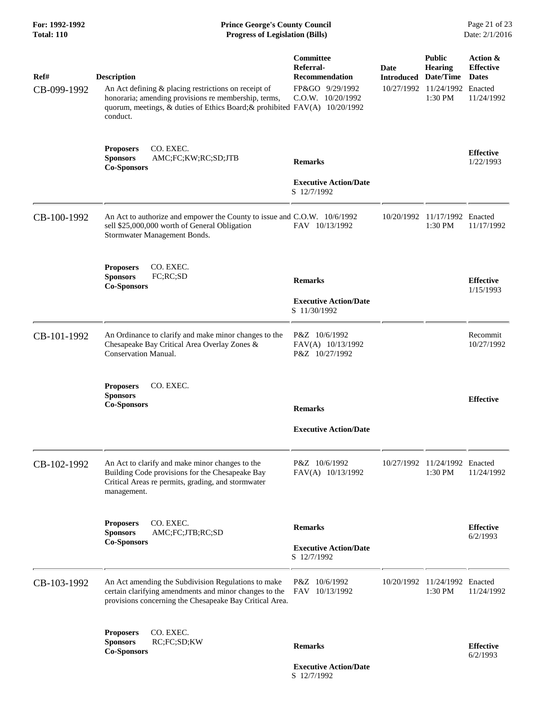**For: 1992-1992 Prince George's County Council** Page 21 of 23<br> **Prince George's County Council** Page 21 of 23<br> **Progress of Legislation (Bills)** Date: 2/1/2016 **Progress of Legislation (Bills)** 

| Ref#<br>CB-099-1992 | <b>Description</b><br>An Act defining $\&$ placing restrictions on receipt of<br>honoraria; amending provisions re membership, terms,<br>quorum, meetings, & duties of Ethics Board; & prohibited FAV(A) 10/20/1992<br>conduct. | Committee<br>Referral-<br><b>Recommendation</b><br>FP&GO 9/29/1992<br>$C.0.W.$ $10/20/1992$ | Date<br><b>Introduced Date/Time</b> | <b>Public</b><br><b>Hearing</b><br>10/27/1992 11/24/1992<br>1:30 PM | Action &<br><b>Effective</b><br><b>Dates</b><br>Enacted<br>11/24/1992 |
|---------------------|---------------------------------------------------------------------------------------------------------------------------------------------------------------------------------------------------------------------------------|---------------------------------------------------------------------------------------------|-------------------------------------|---------------------------------------------------------------------|-----------------------------------------------------------------------|
|                     | CO. EXEC.<br><b>Proposers</b><br><b>Sponsors</b><br>AMC;FC;KW;RC;SD;JTB<br><b>Co-Sponsors</b>                                                                                                                                   | <b>Remarks</b><br><b>Executive Action/Date</b><br>S 12/7/1992                               |                                     |                                                                     | <b>Effective</b><br>1/22/1993                                         |
| CB-100-1992         | An Act to authorize and empower the County to issue and C.O.W. 10/6/1992<br>sell \$25,000,000 worth of General Obligation<br>Stormwater Management Bonds.                                                                       | FAV 10/13/1992                                                                              | 10/20/1992                          | 11/17/1992<br>1:30 PM                                               | Enacted<br>11/17/1992                                                 |
|                     | CO. EXEC.<br><b>Proposers</b><br>FC;RC;SD<br><b>Sponsors</b><br><b>Co-Sponsors</b>                                                                                                                                              | <b>Remarks</b><br><b>Executive Action/Date</b><br>S 11/30/1992                              |                                     |                                                                     | <b>Effective</b><br>1/15/1993                                         |
| CB-101-1992         | An Ordinance to clarify and make minor changes to the<br>Chesapeake Bay Critical Area Overlay Zones &<br><b>Conservation Manual.</b>                                                                                            | P&Z 10/6/1992<br>FAV(A) 10/13/1992<br>P&Z 10/27/1992                                        |                                     |                                                                     | Recommit<br>10/27/1992                                                |
|                     | CO. EXEC.<br><b>Proposers</b><br><b>Sponsors</b><br><b>Co-Sponsors</b>                                                                                                                                                          | <b>Remarks</b><br><b>Executive Action/Date</b>                                              |                                     |                                                                     | <b>Effective</b>                                                      |
| CB-102-1992         | An Act to clarify and make minor changes to the<br>Building Code provisions for the Chesapeake Bay<br>Critical Areas re permits, grading, and stormwater<br>management.                                                         | P&Z 10/6/1992<br>FAV(A) 10/13/1992                                                          | 10/27/1992                          | 11/24/1992 Enacted<br>1:30 PM                                       | 11/24/1992                                                            |
|                     | CO. EXEC.<br><b>Proposers</b><br>AMC;FC;JTB;RC;SD<br><b>Sponsors</b><br><b>Co-Sponsors</b>                                                                                                                                      | <b>Remarks</b><br><b>Executive Action/Date</b><br>S 12/7/1992                               |                                     |                                                                     | <b>Effective</b><br>6/2/1993                                          |
| CB-103-1992         | An Act amending the Subdivision Regulations to make<br>certain clarifying amendments and minor changes to the<br>provisions concerning the Chesapeake Bay Critical Area.                                                        | P&Z 10/6/1992<br>FAV 10/13/1992                                                             | 10/20/1992                          | 11/24/1992 Enacted<br>1:30 PM                                       | 11/24/1992                                                            |
|                     | CO. EXEC.<br><b>Proposers</b><br>RC;FC;SD;KW<br><b>Sponsors</b><br><b>Co-Sponsors</b>                                                                                                                                           | <b>Remarks</b>                                                                              |                                     |                                                                     | <b>Effective</b><br>6/2/1993                                          |

 **Executive Action/Date** S 12/7/1992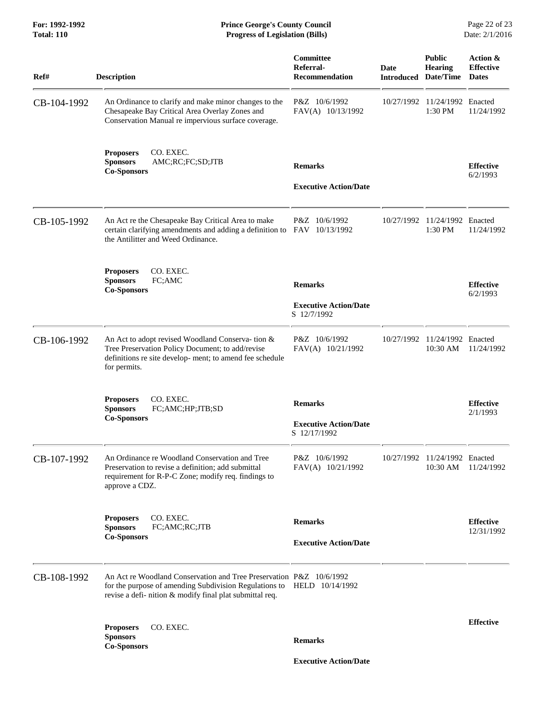**For: 1992-1992 Prince George's County Council** Page 22 of 23<br> **Prince George's County Council** Page 22 of 23<br> **Progress of Legislation (Bills)** Date: 2/1/2016 **Total: 110 Progress of Legislation (Bills)** 

| Ref#        | <b>Description</b>                                                                                                                                                                                        | Committee<br>Referral-<br><b>Recommendation</b>                | Date       | <b>Public</b><br><b>Hearing</b><br><b>Introduced Date/Time Dates</b> | Action &<br><b>Effective</b>   |
|-------------|-----------------------------------------------------------------------------------------------------------------------------------------------------------------------------------------------------------|----------------------------------------------------------------|------------|----------------------------------------------------------------------|--------------------------------|
| CB-104-1992 | An Ordinance to clarify and make minor changes to the<br>Chesapeake Bay Critical Area Overlay Zones and<br>Conservation Manual re impervious surface coverage.                                            | P&Z 10/6/1992<br>FAV(A) 10/13/1992                             | 10/27/1992 | 11/24/1992 Enacted<br>1:30 PM                                        | 11/24/1992                     |
|             | CO. EXEC.<br><b>Proposers</b><br>AMC;RC;FC;SD;JTB<br><b>Sponsors</b><br><b>Co-Sponsors</b>                                                                                                                | <b>Remarks</b><br><b>Executive Action/Date</b>                 |            |                                                                      | <b>Effective</b><br>6/2/1993   |
| CB-105-1992 | An Act re the Chesapeake Bay Critical Area to make<br>certain clarifying amendments and adding a definition to<br>the Antilitter and Weed Ordinance.                                                      | P&Z 10/6/1992<br>FAV 10/13/1992                                | 10/27/1992 | 11/24/1992 Enacted<br>1:30 PM                                        | 11/24/1992                     |
|             | CO. EXEC.<br><b>Proposers</b><br><b>Sponsors</b><br>FC;AMC<br><b>Co-Sponsors</b>                                                                                                                          | <b>Remarks</b><br><b>Executive Action/Date</b><br>S 12/7/1992  |            |                                                                      | <b>Effective</b><br>6/2/1993   |
| CB-106-1992 | An Act to adopt revised Woodland Conserva-tion &<br>Tree Preservation Policy Document; to add/revise<br>definitions re site develop- ment; to amend fee schedule<br>for permits.                          | P&Z 10/6/1992<br>FAV(A) 10/21/1992                             |            | 10/27/1992 11/24/1992 Enacted<br>10:30 AM                            | 11/24/1992                     |
|             | CO. EXEC.<br><b>Proposers</b><br><b>Sponsors</b><br>FC;AMC;HP;JTB;SD<br><b>Co-Sponsors</b>                                                                                                                | <b>Remarks</b><br><b>Executive Action/Date</b><br>S 12/17/1992 |            |                                                                      | <b>Effective</b><br>2/1/1993   |
| CB-107-1992 | An Ordinance re Woodland Conservation and Tree<br>Preservation to revise a definition; add submittal<br>requirement for R-P-C Zone; modify req. findings to<br>approve a CDZ.                             | P&Z 10/6/1992<br>FAV(A) 10/21/1992                             |            | 10/27/1992 11/24/1992 Enacted<br>10:30 AM                            | 11/24/1992                     |
|             | CO. EXEC.<br><b>Proposers</b><br>FC;AMC;RC;JTB<br><b>Sponsors</b><br><b>Co-Sponsors</b>                                                                                                                   | <b>Remarks</b><br><b>Executive Action/Date</b>                 |            |                                                                      | <b>Effective</b><br>12/31/1992 |
| CB-108-1992 | An Act re Woodland Conservation and Tree Preservation P&Z 10/6/1992<br>for the purpose of amending Subdivision Regulations to HELD 10/14/1992<br>revise a defi- nition & modify final plat submittal req. |                                                                |            |                                                                      |                                |
|             | CO. EXEC.<br><b>Proposers</b><br><b>Sponsors</b><br><b>Co-Sponsors</b>                                                                                                                                    | <b>Remarks</b>                                                 |            |                                                                      | <b>Effective</b>               |

 **Executive Action/Date**